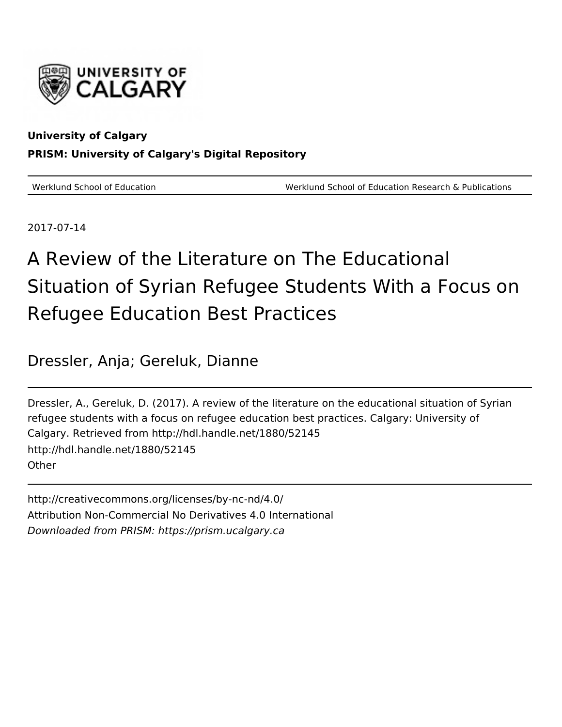

### **University of Calgary PRISM: University of Calgary's Digital Repository**

Werklund School of Education Werklund School of Education Research & Publications

2017-07-14

# A Review of the Literature on The Educational Situation of Syrian Refugee Students With a Focus on Refugee Education Best Practices

# Dressler, Anja; Gereluk, Dianne

Dressler, A., Gereluk, D. (2017). A review of the literature on the educational situation of Syrian refugee students with a focus on refugee education best practices. Calgary: University of Calgary. Retrieved from http://hdl.handle.net/1880/52145 http://hdl.handle.net/1880/52145 **Other** 

http://creativecommons.org/licenses/by-nc-nd/4.0/ Attribution Non-Commercial No Derivatives 4.0 International Downloaded from PRISM: https://prism.ucalgary.ca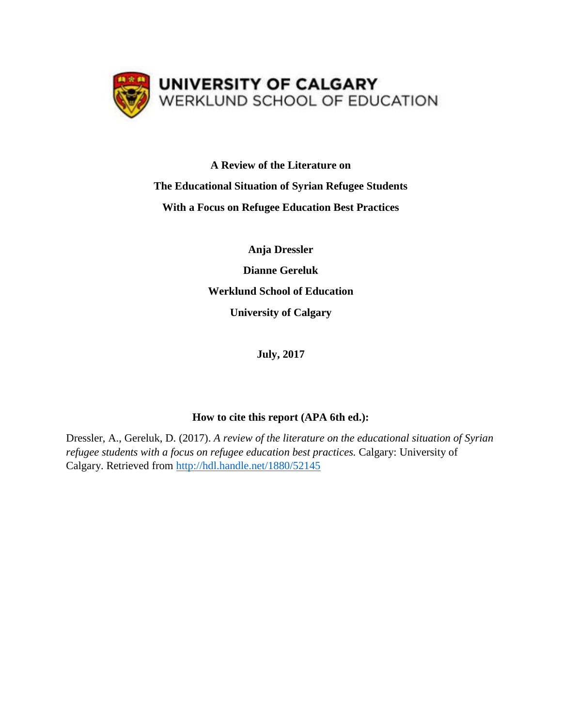

**A Review of the Literature on The Educational Situation of Syrian Refugee Students With a Focus on Refugee Education Best Practices** 

> **Anja Dressler Dianne Gereluk Werklund School of Education University of Calgary**

> > **July, 2017**

### **How to cite this report (APA 6th ed.):**

Dressler, A., Gereluk, D. (2017). *A review of the literature on the educational situation of Syrian refugee students with a focus on refugee education best practices.* Calgary: University of Calgary. Retrieved from<http://hdl.handle.net/1880/52145>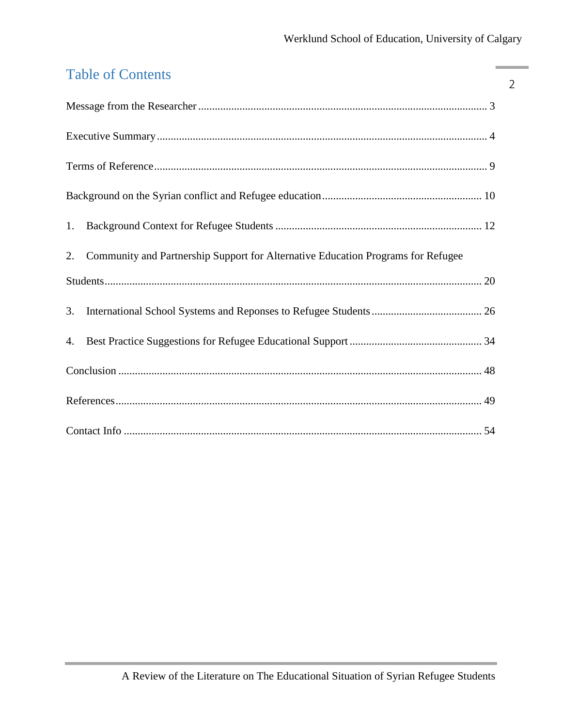i,

| <b>Table of Contents</b> |
|--------------------------|
|--------------------------|

|                                                                                        | $\overline{2}$ |
|----------------------------------------------------------------------------------------|----------------|
|                                                                                        |                |
|                                                                                        |                |
|                                                                                        |                |
|                                                                                        |                |
| 1.                                                                                     |                |
| Community and Partnership Support for Alternative Education Programs for Refugee<br>2. |                |
|                                                                                        |                |
| 3.                                                                                     |                |
| 4.                                                                                     |                |
|                                                                                        |                |
|                                                                                        |                |
|                                                                                        |                |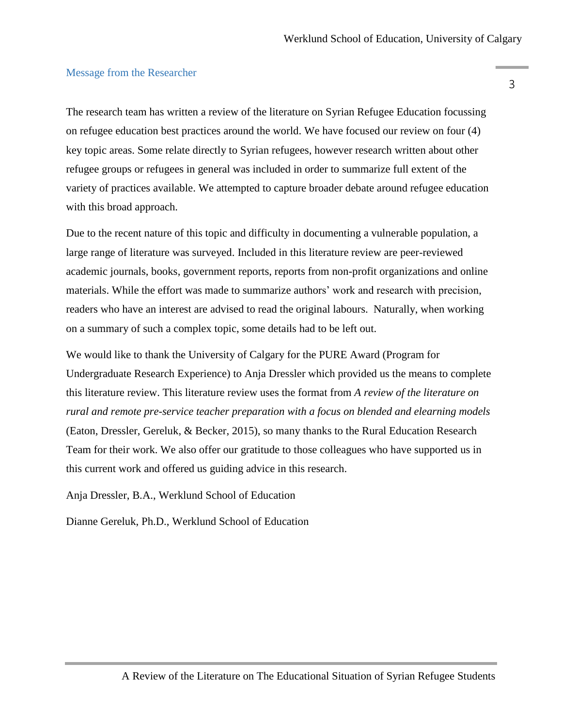#### <span id="page-3-0"></span>Message from the Researcher

The research team has written a review of the literature on Syrian Refugee Education focussing on refugee education best practices around the world. We have focused our review on four (4) key topic areas. Some relate directly to Syrian refugees, however research written about other refugee groups or refugees in general was included in order to summarize full extent of the variety of practices available. We attempted to capture broader debate around refugee education with this broad approach.

Due to the recent nature of this topic and difficulty in documenting a vulnerable population, a large range of literature was surveyed. Included in this literature review are peer-reviewed academic journals, books, government reports, reports from non-profit organizations and online materials. While the effort was made to summarize authors' work and research with precision, readers who have an interest are advised to read the original labours. Naturally, when working on a summary of such a complex topic, some details had to be left out.

We would like to thank the University of Calgary for the PURE Award (Program for Undergraduate Research Experience) to Anja Dressler which provided us the means to complete this literature review. This literature review uses the format from *A review of the literature on rural and remote pre-service teacher preparation with a focus on blended and elearning models* (Eaton, Dressler, Gereluk, & Becker, 2015), so many thanks to the Rural Education Research Team for their work. We also offer our gratitude to those colleagues who have supported us in this current work and offered us guiding advice in this research.

Anja Dressler, B.A., Werklund School of Education

Dianne Gereluk, Ph.D., Werklund School of Education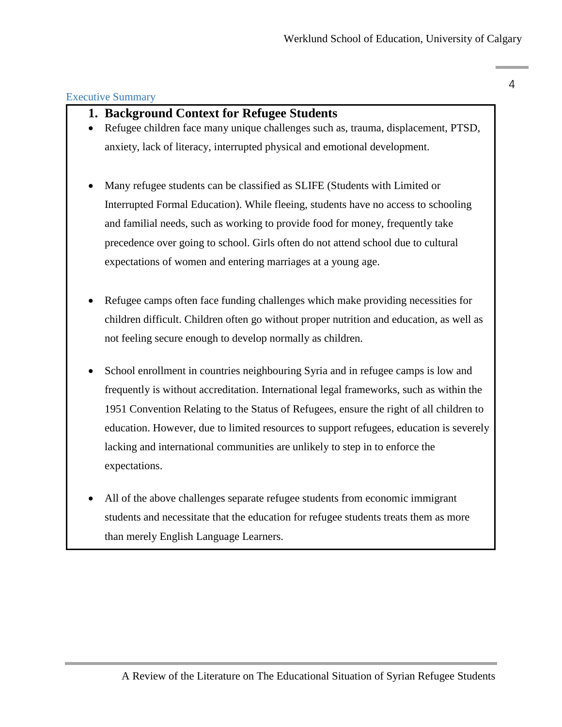#### <span id="page-4-0"></span>Executive Summary

- **1. Background Context for Refugee Students**
- Refugee children face many unique challenges such as, trauma, displacement, PTSD, anxiety, lack of literacy, interrupted physical and emotional development.
- Many refugee students can be classified as SLIFE (Students with Limited or Interrupted Formal Education). While fleeing, students have no access to schooling and familial needs, such as working to provide food for money, frequently take precedence over going to school. Girls often do not attend school due to cultural expectations of women and entering marriages at a young age.
- Refugee camps often face funding challenges which make providing necessities for children difficult. Children often go without proper nutrition and education, as well as not feeling secure enough to develop normally as children.
- School enrollment in countries neighbouring Syria and in refugee camps is low and frequently is without accreditation. International legal frameworks, such as within the 1951 Convention Relating to the Status of Refugees, ensure the right of all children to education. However, due to limited resources to support refugees, education is severely lacking and international communities are unlikely to step in to enforce the expectations.
- All of the above challenges separate refugee students from economic immigrant students and necessitate that the education for refugee students treats them as more than merely English Language Learners.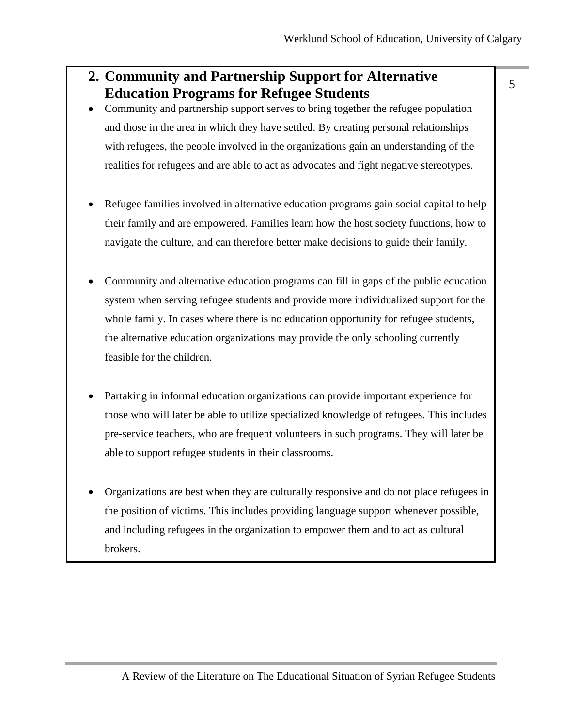# **2. Community and Partnership Support for Alternative Education Programs for Refugee Students**

- Community and partnership support serves to bring together the refugee population and those in the area in which they have settled. By creating personal relationships with refugees, the people involved in the organizations gain an understanding of the realities for refugees and are able to act as advocates and fight negative stereotypes.
- Refugee families involved in alternative education programs gain social capital to help their family and are empowered. Families learn how the host society functions, how to navigate the culture, and can therefore better make decisions to guide their family.
- Community and alternative education programs can fill in gaps of the public education system when serving refugee students and provide more individualized support for the whole family. In cases where there is no education opportunity for refugee students, the alternative education organizations may provide the only schooling currently feasible for the children.
- Partaking in informal education organizations can provide important experience for those who will later be able to utilize specialized knowledge of refugees. This includes pre-service teachers, who are frequent volunteers in such programs. They will later be able to support refugee students in their classrooms.
- Organizations are best when they are culturally responsive and do not place refugees in the position of victims. This includes providing language support whenever possible, and including refugees in the organization to empower them and to act as cultural brokers.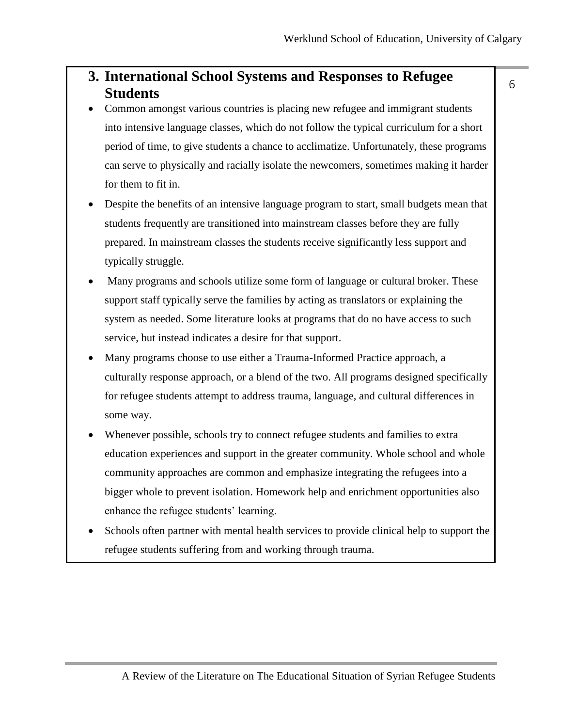# **3. International School Systems and Responses to Refugee Students**

- Common amongst various countries is placing new refugee and immigrant students into intensive language classes, which do not follow the typical curriculum for a short period of time, to give students a chance to acclimatize. Unfortunately, these programs can serve to physically and racially isolate the newcomers, sometimes making it harder for them to fit in.
- Despite the benefits of an intensive language program to start, small budgets mean that students frequently are transitioned into mainstream classes before they are fully prepared. In mainstream classes the students receive significantly less support and typically struggle.
- Many programs and schools utilize some form of language or cultural broker. These support staff typically serve the families by acting as translators or explaining the system as needed. Some literature looks at programs that do no have access to such service, but instead indicates a desire for that support.
- Many programs choose to use either a Trauma-Informed Practice approach, a culturally response approach, or a blend of the two. All programs designed specifically for refugee students attempt to address trauma, language, and cultural differences in some way.
- Whenever possible, schools try to connect refugee students and families to extra education experiences and support in the greater community. Whole school and whole community approaches are common and emphasize integrating the refugees into a bigger whole to prevent isolation. Homework help and enrichment opportunities also enhance the refugee students' learning.
- Schools often partner with mental health services to provide clinical help to support the refugee students suffering from and working through trauma.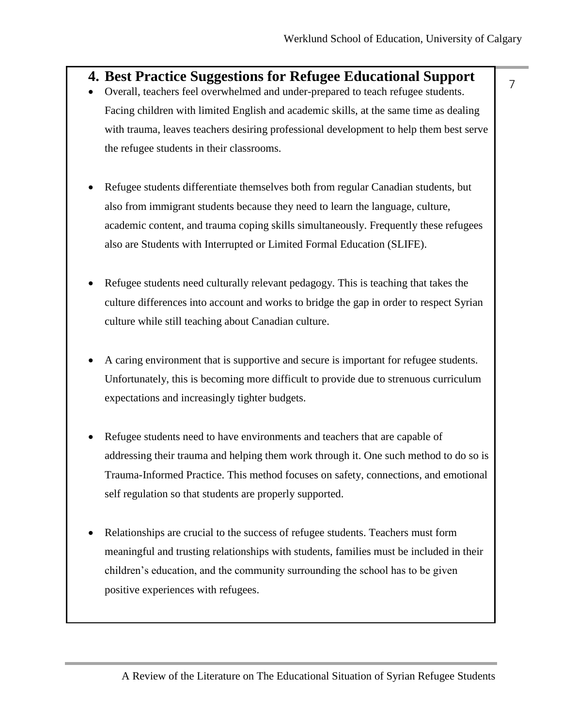# **4. Best Practice Suggestions for Refugee Educational Support**

- Overall, teachers feel overwhelmed and under-prepared to teach refugee students. Facing children with limited English and academic skills, at the same time as dealing with trauma, leaves teachers desiring professional development to help them best serve the refugee students in their classrooms.
- Refugee students differentiate themselves both from regular Canadian students, but also from immigrant students because they need to learn the language, culture, academic content, and trauma coping skills simultaneously. Frequently these refugees also are Students with Interrupted or Limited Formal Education (SLIFE).
- Refugee students need culturally relevant pedagogy. This is teaching that takes the culture differences into account and works to bridge the gap in order to respect Syrian culture while still teaching about Canadian culture.
- A caring environment that is supportive and secure is important for refugee students. Unfortunately, this is becoming more difficult to provide due to strenuous curriculum expectations and increasingly tighter budgets.
- Refugee students need to have environments and teachers that are capable of addressing their trauma and helping them work through it. One such method to do so is Trauma-Informed Practice. This method focuses on safety, connections, and emotional self regulation so that students are properly supported.
- Relationships are crucial to the success of refugee students. Teachers must form meaningful and trusting relationships with students, families must be included in their children's education, and the community surrounding the school has to be given positive experiences with refugees.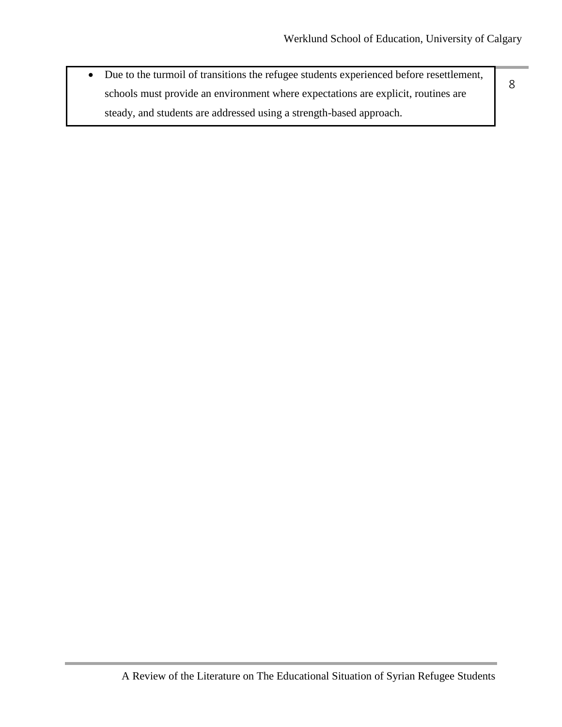8

• Due to the turmoil of transitions the refugee students experienced before resettlement, schools must provide an environment where expectations are explicit, routines are steady, and students are addressed using a strength-based approach.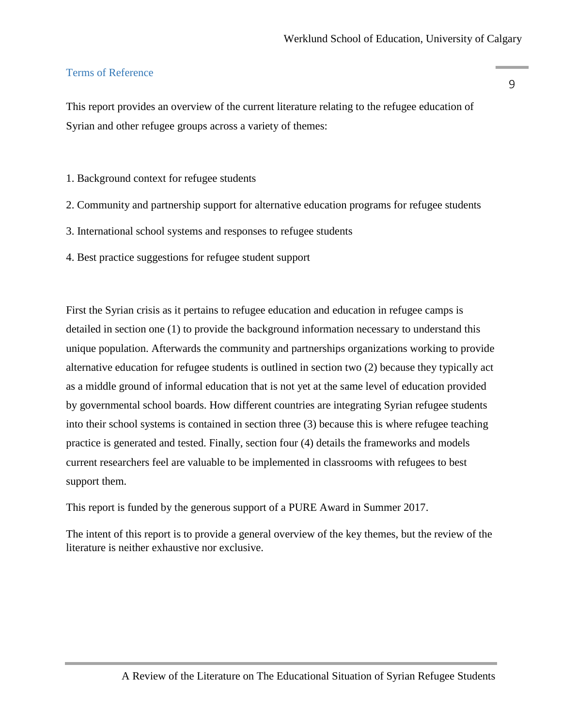### <span id="page-9-0"></span>Terms of Reference

This report provides an overview of the current literature relating to the refugee education of Syrian and other refugee groups across a variety of themes:

- 1. Background context for refugee students
- 2. Community and partnership support for alternative education programs for refugee students
- 3. International school systems and responses to refugee students
- 4. Best practice suggestions for refugee student support

First the Syrian crisis as it pertains to refugee education and education in refugee camps is detailed in section one (1) to provide the background information necessary to understand this unique population. Afterwards the community and partnerships organizations working to provide alternative education for refugee students is outlined in section two (2) because they typically act as a middle ground of informal education that is not yet at the same level of education provided by governmental school boards. How different countries are integrating Syrian refugee students into their school systems is contained in section three (3) because this is where refugee teaching practice is generated and tested. Finally, section four (4) details the frameworks and models current researchers feel are valuable to be implemented in classrooms with refugees to best support them.

This report is funded by the generous support of a PURE Award in Summer 2017.

The intent of this report is to provide a general overview of the key themes, but the review of the literature is neither exhaustive nor exclusive.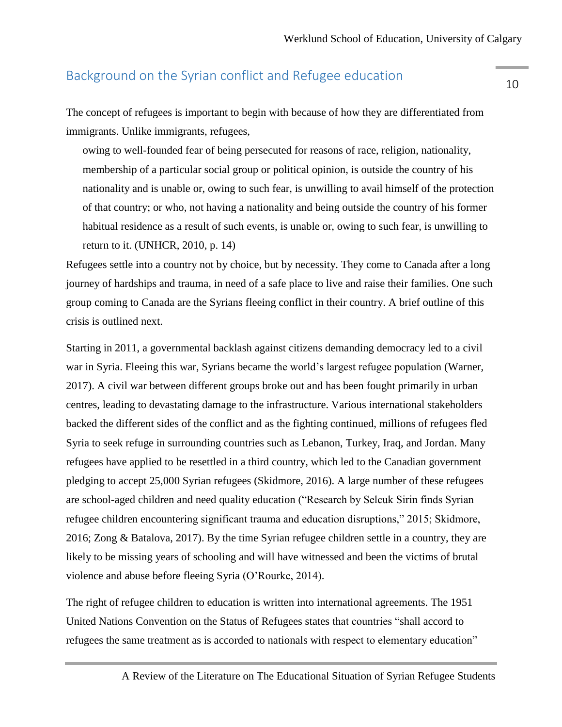### <span id="page-10-0"></span>Background on the Syrian conflict and Refugee education

The concept of refugees is important to begin with because of how they are differentiated from immigrants. Unlike immigrants, refugees,

owing to well-founded fear of being persecuted for reasons of race, religion, nationality, membership of a particular social group or political opinion, is outside the country of his nationality and is unable or, owing to such fear, is unwilling to avail himself of the protection of that country; or who, not having a nationality and being outside the country of his former habitual residence as a result of such events, is unable or, owing to such fear, is unwilling to return to it. (UNHCR, 2010, p. 14)

Refugees settle into a country not by choice, but by necessity. They come to Canada after a long journey of hardships and trauma, in need of a safe place to live and raise their families. One such group coming to Canada are the Syrians fleeing conflict in their country. A brief outline of this crisis is outlined next.

Starting in 2011, a governmental backlash against citizens demanding democracy led to a civil war in Syria. Fleeing this war, Syrians became the world's largest refugee population (Warner, 2017). A civil war between different groups broke out and has been fought primarily in urban centres, leading to devastating damage to the infrastructure. Various international stakeholders backed the different sides of the conflict and as the fighting continued, millions of refugees fled Syria to seek refuge in surrounding countries such as Lebanon, Turkey, Iraq, and Jordan. Many refugees have applied to be resettled in a third country, which led to the Canadian government pledging to accept 25,000 Syrian refugees (Skidmore, 2016). A large number of these refugees are school-aged children and need quality education ("Research by Selcuk Sirin finds Syrian refugee children encountering significant trauma and education disruptions," 2015; Skidmore, 2016; Zong & Batalova, 2017). By the time Syrian refugee children settle in a country, they are likely to be missing years of schooling and will have witnessed and been the victims of brutal violence and abuse before fleeing Syria (O'Rourke, 2014).

The right of refugee children to education is written into international agreements. The 1951 United Nations Convention on the Status of Refugees states that countries "shall accord to refugees the same treatment as is accorded to nationals with respect to elementary education"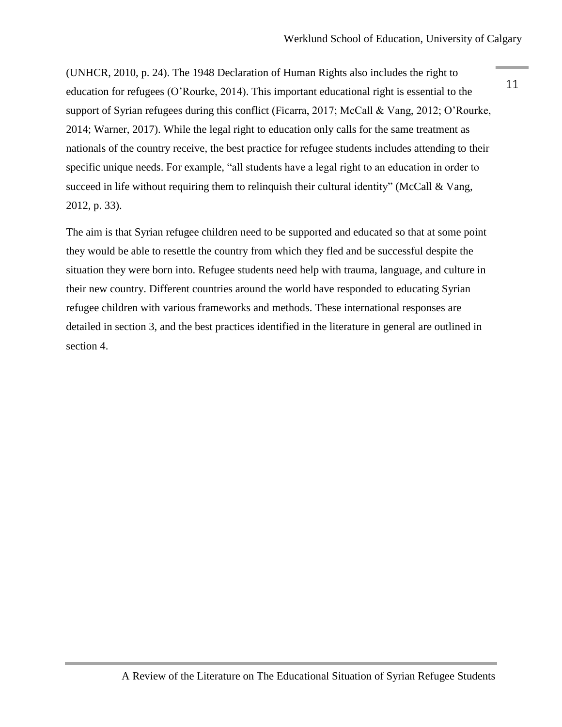(UNHCR, 2010, p. 24). The 1948 Declaration of Human Rights also includes the right to education for refugees (O'Rourke, 2014). This important educational right is essential to the support of Syrian refugees during this conflict (Ficarra, 2017; McCall & Vang, 2012; O'Rourke, 2014; Warner, 2017). While the legal right to education only calls for the same treatment as nationals of the country receive, the best practice for refugee students includes attending to their specific unique needs. For example, "all students have a legal right to an education in order to succeed in life without requiring them to relinquish their cultural identity" (McCall & Vang, 2012, p. 33).

The aim is that Syrian refugee children need to be supported and educated so that at some point they would be able to resettle the country from which they fled and be successful despite the situation they were born into. Refugee students need help with trauma, language, and culture in their new country. Different countries around the world have responded to educating Syrian refugee children with various frameworks and methods. These international responses are detailed in section 3, and the best practices identified in the literature in general are outlined in section 4.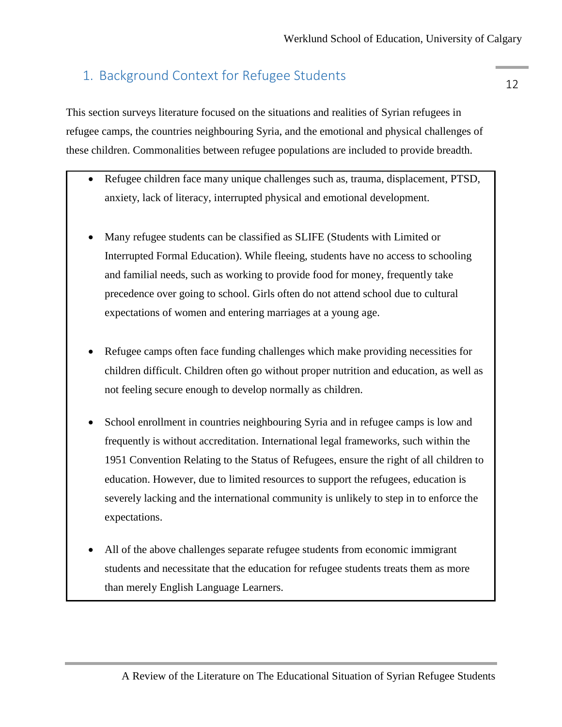# <span id="page-12-0"></span>1. Background Context for Refugee Students

This section surveys literature focused on the situations and realities of Syrian refugees in refugee camps, the countries neighbouring Syria, and the emotional and physical challenges of these children. Commonalities between refugee populations are included to provide breadth.

- Refugee children face many unique challenges such as, trauma, displacement, PTSD, anxiety, lack of literacy, interrupted physical and emotional development.
- Many refugee students can be classified as SLIFE (Students with Limited or Interrupted Formal Education). While fleeing, students have no access to schooling and familial needs, such as working to provide food for money, frequently take precedence over going to school. Girls often do not attend school due to cultural expectations of women and entering marriages at a young age.
- Refugee camps often face funding challenges which make providing necessities for children difficult. Children often go without proper nutrition and education, as well as not feeling secure enough to develop normally as children.
- School enrollment in countries neighbouring Syria and in refugee camps is low and frequently is without accreditation. International legal frameworks, such within the 1951 Convention Relating to the Status of Refugees, ensure the right of all children to education. However, due to limited resources to support the refugees, education is severely lacking and the international community is unlikely to step in to enforce the expectations.
- All of the above challenges separate refugee students from economic immigrant students and necessitate that the education for refugee students treats them as more than merely English Language Learners.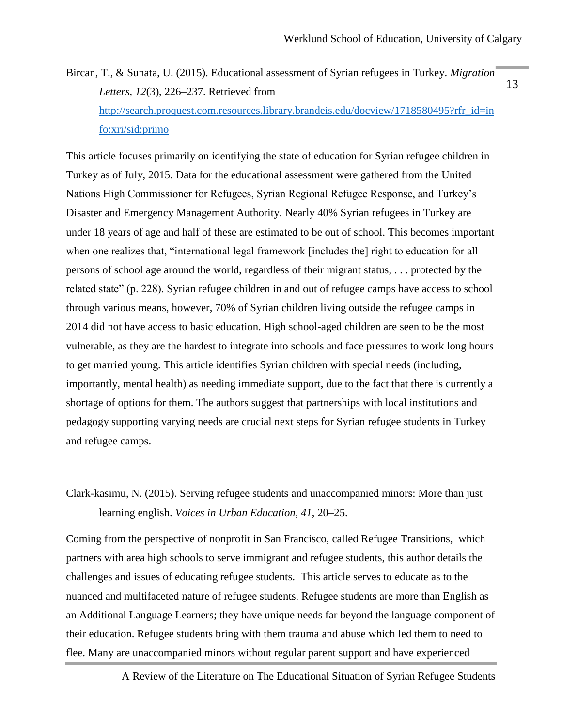Bircan, T., & Sunata, U. (2015). Educational assessment of Syrian refugees in Turkey. *Migration Letters, 12*(3), 226–237. Retrieved from [http://search.proquest.com.resources.library.brandeis.edu/docview/1718580495?rfr\\_id=in](http://search.proquest.com.resources.library.brandeis.edu/docview/1718580495?rfr_id=info:xri/sid:primo) [fo:xri/sid:primo](http://search.proquest.com.resources.library.brandeis.edu/docview/1718580495?rfr_id=info:xri/sid:primo)

This article focuses primarily on identifying the state of education for Syrian refugee children in Turkey as of July, 2015. Data for the educational assessment were gathered from the United Nations High Commissioner for Refugees, Syrian Regional Refugee Response, and Turkey's Disaster and Emergency Management Authority. Nearly 40% Syrian refugees in Turkey are under 18 years of age and half of these are estimated to be out of school. This becomes important when one realizes that, "international legal framework [includes the] right to education for all persons of school age around the world, regardless of their migrant status, . . . protected by the related state" (p. 228). Syrian refugee children in and out of refugee camps have access to school through various means, however, 70% of Syrian children living outside the refugee camps in 2014 did not have access to basic education. High school-aged children are seen to be the most vulnerable, as they are the hardest to integrate into schools and face pressures to work long hours to get married young. This article identifies Syrian children with special needs (including, importantly, mental health) as needing immediate support, due to the fact that there is currently a shortage of options for them. The authors suggest that partnerships with local institutions and pedagogy supporting varying needs are crucial next steps for Syrian refugee students in Turkey and refugee camps.

Clark-kasimu, N. (2015). Serving refugee students and unaccompanied minors: More than just learning english. *Voices in Urban Education, 41*, 20–25.

Coming from the perspective of nonprofit in San Francisco, called Refugee Transitions, which partners with area high schools to serve immigrant and refugee students, this author details the challenges and issues of educating refugee students. This article serves to educate as to the nuanced and multifaceted nature of refugee students. Refugee students are more than English as an Additional Language Learners; they have unique needs far beyond the language component of their education. Refugee students bring with them trauma and abuse which led them to need to flee. Many are unaccompanied minors without regular parent support and have experienced

A Review of the Literature on The Educational Situation of Syrian Refugee Students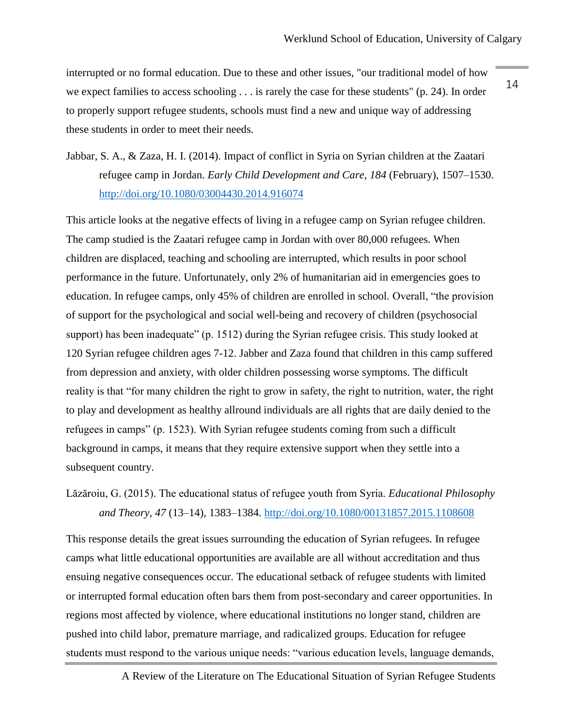interrupted or no formal education. Due to these and other issues, "our traditional model of how we expect families to access schooling . . . is rarely the case for these students" (p. 24). In order to properly support refugee students, schools must find a new and unique way of addressing these students in order to meet their needs.

Jabbar, S. A., & Zaza, H. I. (2014). Impact of conflict in Syria on Syrian children at the Zaatari refugee camp in Jordan. *Early Child Development and Care, 184* (February), 1507–1530. <http://doi.org/10.1080/03004430.2014.916074>

This article looks at the negative effects of living in a refugee camp on Syrian refugee children. The camp studied is the Zaatari refugee camp in Jordan with over 80,000 refugees. When children are displaced, teaching and schooling are interrupted, which results in poor school performance in the future. Unfortunately, only 2% of humanitarian aid in emergencies goes to education. In refugee camps, only 45% of children are enrolled in school. Overall, "the provision of support for the psychological and social well-being and recovery of children (psychosocial support) has been inadequate" (p. 1512) during the Syrian refugee crisis. This study looked at 120 Syrian refugee children ages 7-12. Jabber and Zaza found that children in this camp suffered from depression and anxiety, with older children possessing worse symptoms. The difficult reality is that "for many children the right to grow in safety, the right to nutrition, water, the right to play and development as healthy allround individuals are all rights that are daily denied to the refugees in camps" (p. 1523). With Syrian refugee students coming from such a difficult background in camps, it means that they require extensive support when they settle into a subsequent country.

Lăzăroiu, G. (2015). The educational status of refugee youth from Syria. *Educational Philosophy and Theory, 47* (13–14), 1383–1384.<http://doi.org/10.1080/00131857.2015.1108608>

This response details the great issues surrounding the education of Syrian refugees. In refugee camps what little educational opportunities are available are all without accreditation and thus ensuing negative consequences occur. The educational setback of refugee students with limited or interrupted formal education often bars them from post-secondary and career opportunities. In regions most affected by violence, where educational institutions no longer stand, children are pushed into child labor, premature marriage, and radicalized groups. Education for refugee students must respond to the various unique needs: "various education levels, language demands,

A Review of the Literature on The Educational Situation of Syrian Refugee Students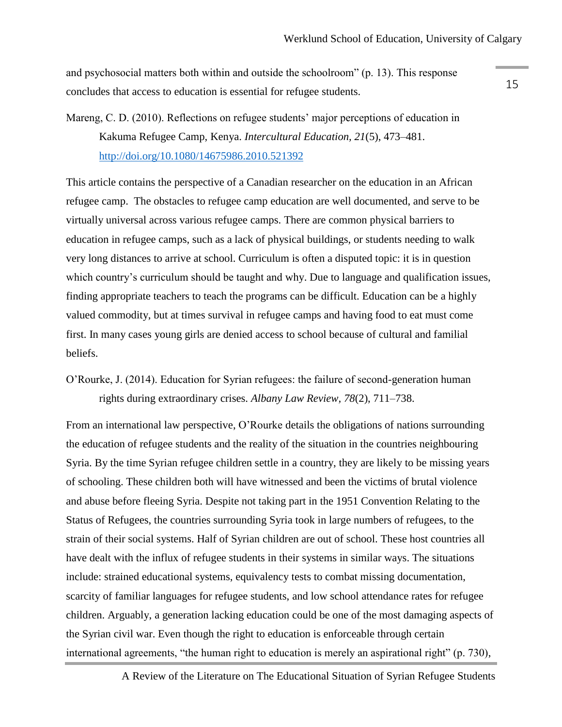and psychosocial matters both within and outside the schoolroom" (p. 13). This response concludes that access to education is essential for refugee students.

Mareng, C. D. (2010). Reflections on refugee students' major perceptions of education in Kakuma Refugee Camp, Kenya. *Intercultural Education, 21*(5), 473–481. <http://doi.org/10.1080/14675986.2010.521392>

This article contains the perspective of a Canadian researcher on the education in an African refugee camp. The obstacles to refugee camp education are well documented, and serve to be virtually universal across various refugee camps. There are common physical barriers to education in refugee camps, such as a lack of physical buildings, or students needing to walk very long distances to arrive at school. Curriculum is often a disputed topic: it is in question which country's curriculum should be taught and why. Due to language and qualification issues, finding appropriate teachers to teach the programs can be difficult. Education can be a highly valued commodity, but at times survival in refugee camps and having food to eat must come first. In many cases young girls are denied access to school because of cultural and familial beliefs.

O'Rourke, J. (2014). Education for Syrian refugees: the failure of second-generation human rights during extraordinary crises. *Albany Law Review, 78*(2), 711–738.

From an international law perspective, O'Rourke details the obligations of nations surrounding the education of refugee students and the reality of the situation in the countries neighbouring Syria. By the time Syrian refugee children settle in a country, they are likely to be missing years of schooling. These children both will have witnessed and been the victims of brutal violence and abuse before fleeing Syria. Despite not taking part in the 1951 Convention Relating to the Status of Refugees, the countries surrounding Syria took in large numbers of refugees, to the strain of their social systems. Half of Syrian children are out of school. These host countries all have dealt with the influx of refugee students in their systems in similar ways. The situations include: strained educational systems, equivalency tests to combat missing documentation, scarcity of familiar languages for refugee students, and low school attendance rates for refugee children. Arguably, a generation lacking education could be one of the most damaging aspects of the Syrian civil war. Even though the right to education is enforceable through certain international agreements, "the human right to education is merely an aspirational right" (p. 730),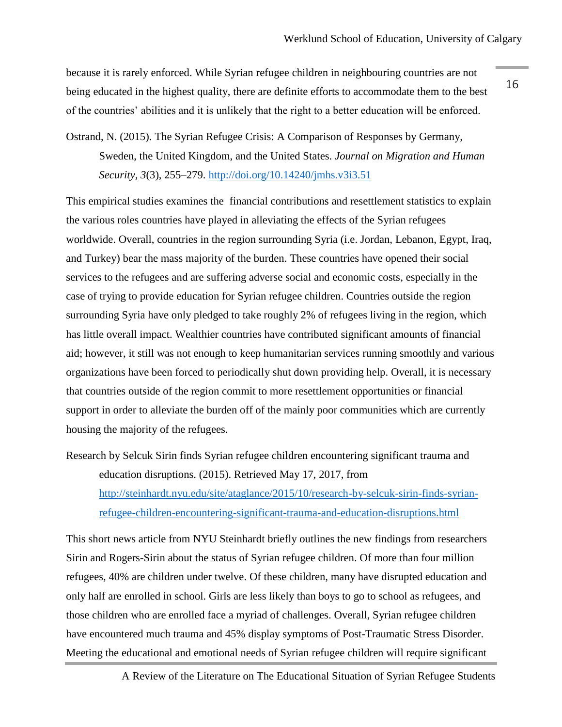because it is rarely enforced. While Syrian refugee children in neighbouring countries are not being educated in the highest quality, there are definite efforts to accommodate them to the best of the countries' abilities and it is unlikely that the right to a better education will be enforced.

Ostrand, N. (2015). The Syrian Refugee Crisis: A Comparison of Responses by Germany, Sweden, the United Kingdom, and the United States. *Journal on Migration and Human Security, 3*(3), 255–279.<http://doi.org/10.14240/jmhs.v3i3.51>

This empirical studies examines the financial contributions and resettlement statistics to explain the various roles countries have played in alleviating the effects of the Syrian refugees worldwide. Overall, countries in the region surrounding Syria (i.e. Jordan, Lebanon, Egypt, Iraq, and Turkey) bear the mass majority of the burden. These countries have opened their social services to the refugees and are suffering adverse social and economic costs, especially in the case of trying to provide education for Syrian refugee children. Countries outside the region surrounding Syria have only pledged to take roughly 2% of refugees living in the region, which has little overall impact. Wealthier countries have contributed significant amounts of financial aid; however, it still was not enough to keep humanitarian services running smoothly and various organizations have been forced to periodically shut down providing help. Overall, it is necessary that countries outside of the region commit to more resettlement opportunities or financial support in order to alleviate the burden off of the mainly poor communities which are currently housing the majority of the refugees.

Research by Selcuk Sirin finds Syrian refugee children encountering significant trauma and education disruptions. (2015). Retrieved May 17, 2017, from [http://steinhardt.nyu.edu/site/ataglance/2015/10/research-by-selcuk-sirin-finds-syrian](http://steinhardt.nyu.edu/site/ataglance/2015/10/research-by-selcuk-sirin-finds-syrian-refugee-children-encountering-significant-trauma-and-education-disruptions.html)[refugee-children-encountering-significant-trauma-and-education-disruptions.html](http://steinhardt.nyu.edu/site/ataglance/2015/10/research-by-selcuk-sirin-finds-syrian-refugee-children-encountering-significant-trauma-and-education-disruptions.html)

This short news article from NYU Steinhardt briefly outlines the new findings from researchers Sirin and Rogers-Sirin about the status of Syrian refugee children. Of more than four million refugees, 40% are children under twelve. Of these children, many have disrupted education and only half are enrolled in school. Girls are less likely than boys to go to school as refugees, and those children who are enrolled face a myriad of challenges. Overall, Syrian refugee children have encountered much trauma and 45% display symptoms of Post-Traumatic Stress Disorder. Meeting the educational and emotional needs of Syrian refugee children will require significant

A Review of the Literature on The Educational Situation of Syrian Refugee Students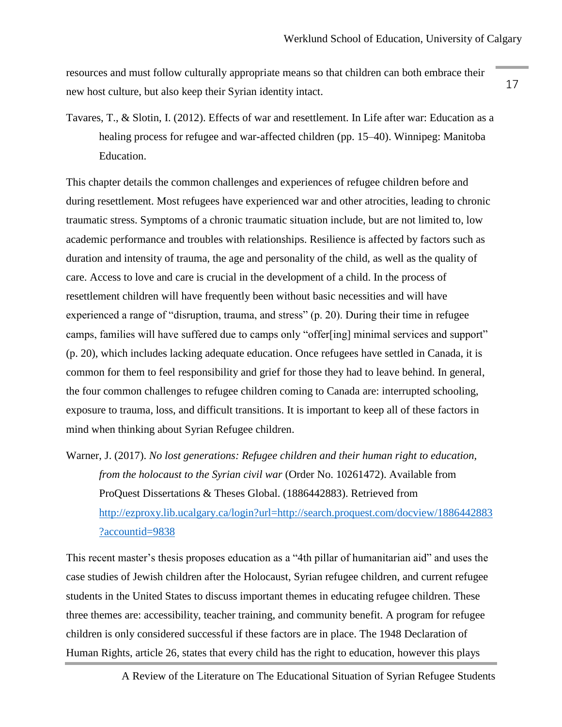resources and must follow culturally appropriate means so that children can both embrace their new host culture, but also keep their Syrian identity intact.

Tavares, T., & Slotin, I. (2012). Effects of war and resettlement. In Life after war: Education as a healing process for refugee and war-affected children (pp. 15–40). Winnipeg: Manitoba Education.

This chapter details the common challenges and experiences of refugee children before and during resettlement. Most refugees have experienced war and other atrocities, leading to chronic traumatic stress. Symptoms of a chronic traumatic situation include, but are not limited to, low academic performance and troubles with relationships. Resilience is affected by factors such as duration and intensity of trauma, the age and personality of the child, as well as the quality of care. Access to love and care is crucial in the development of a child. In the process of resettlement children will have frequently been without basic necessities and will have experienced a range of "disruption, trauma, and stress" (p. 20). During their time in refugee camps, families will have suffered due to camps only "offer[ing] minimal services and support" (p. 20), which includes lacking adequate education. Once refugees have settled in Canada, it is common for them to feel responsibility and grief for those they had to leave behind. In general, the four common challenges to refugee children coming to Canada are: interrupted schooling, exposure to trauma, loss, and difficult transitions. It is important to keep all of these factors in mind when thinking about Syrian Refugee children.

Warner, J. (2017). *No lost generations: Refugee children and their human right to education, from the holocaust to the Syrian civil war* (Order No. 10261472). Available from ProQuest Dissertations & Theses Global. (1886442883). Retrieved from [http://ezproxy.lib.ucalgary.ca/login?url=http://search.proquest.com/docview/1886442883](http://ezproxy.lib.ucalgary.ca/login?url=http://search.proquest.com/docview/1886442883?accountid=9838) [?accountid=9838](http://ezproxy.lib.ucalgary.ca/login?url=http://search.proquest.com/docview/1886442883?accountid=9838)

This recent master's thesis proposes education as a "4th pillar of humanitarian aid" and uses the case studies of Jewish children after the Holocaust, Syrian refugee children, and current refugee students in the United States to discuss important themes in educating refugee children. These three themes are: accessibility, teacher training, and community benefit. A program for refugee children is only considered successful if these factors are in place. The 1948 Declaration of Human Rights, article 26, states that every child has the right to education, however this plays

A Review of the Literature on The Educational Situation of Syrian Refugee Students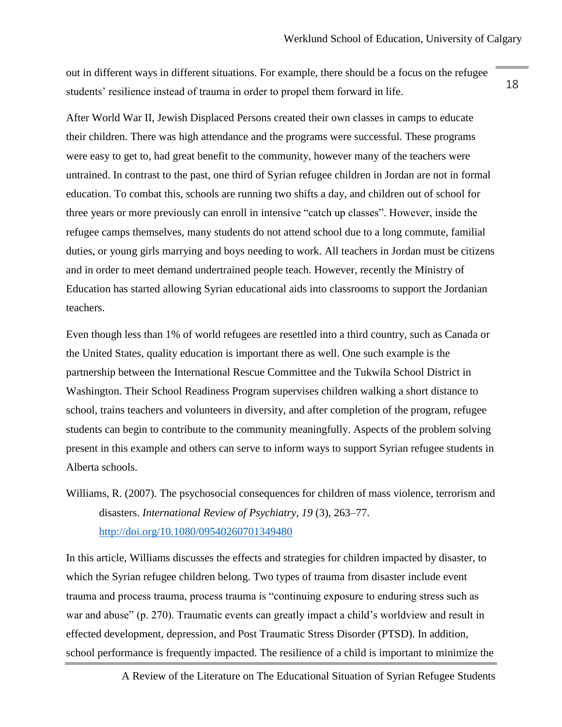out in different ways in different situations. For example, there should be a focus on the refugee students' resilience instead of trauma in order to propel them forward in life.

After World War II, Jewish Displaced Persons created their own classes in camps to educate their children. There was high attendance and the programs were successful. These programs were easy to get to, had great benefit to the community, however many of the teachers were untrained. In contrast to the past, one third of Syrian refugee children in Jordan are not in formal education. To combat this, schools are running two shifts a day, and children out of school for three years or more previously can enroll in intensive "catch up classes". However, inside the refugee camps themselves, many students do not attend school due to a long commute, familial duties, or young girls marrying and boys needing to work. All teachers in Jordan must be citizens and in order to meet demand undertrained people teach. However, recently the Ministry of Education has started allowing Syrian educational aids into classrooms to support the Jordanian teachers.

Even though less than 1% of world refugees are resettled into a third country, such as Canada or the United States, quality education is important there as well. One such example is the partnership between the International Rescue Committee and the Tukwila School District in Washington. Their School Readiness Program supervises children walking a short distance to school, trains teachers and volunteers in diversity, and after completion of the program, refugee students can begin to contribute to the community meaningfully. Aspects of the problem solving present in this example and others can serve to inform ways to support Syrian refugee students in Alberta schools.

Williams, R. (2007). The psychosocial consequences for children of mass violence, terrorism and disasters. *International Review of Psychiatry, 19* (3), 263–77. <http://doi.org/10.1080/09540260701349480>

In this article, Williams discusses the effects and strategies for children impacted by disaster, to which the Syrian refugee children belong. Two types of trauma from disaster include event trauma and process trauma, process trauma is "continuing exposure to enduring stress such as war and abuse" (p. 270). Traumatic events can greatly impact a child's worldview and result in effected development, depression, and Post Traumatic Stress Disorder (PTSD). In addition, school performance is frequently impacted. The resilience of a child is important to minimize the

A Review of the Literature on The Educational Situation of Syrian Refugee Students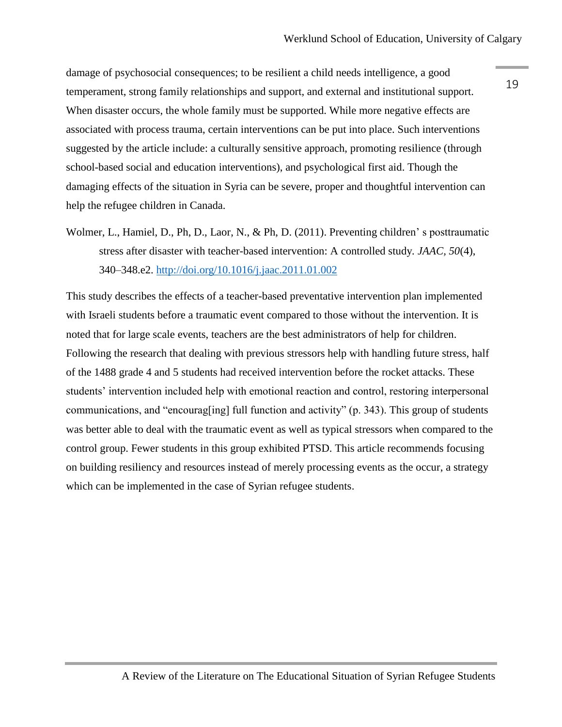damage of psychosocial consequences; to be resilient a child needs intelligence, a good temperament, strong family relationships and support, and external and institutional support. When disaster occurs, the whole family must be supported. While more negative effects are associated with process trauma, certain interventions can be put into place. Such interventions suggested by the article include: a culturally sensitive approach, promoting resilience (through school-based social and education interventions), and psychological first aid. Though the damaging effects of the situation in Syria can be severe, proper and thoughtful intervention can help the refugee children in Canada.

Wolmer, L., Hamiel, D., Ph, D., Laor, N., & Ph, D. (2011). Preventing children' s posttraumatic stress after disaster with teacher-based intervention: A controlled study*. JAAC, 50*(4), 340–348.e2.<http://doi.org/10.1016/j.jaac.2011.01.002>

This study describes the effects of a teacher-based preventative intervention plan implemented with Israeli students before a traumatic event compared to those without the intervention. It is noted that for large scale events, teachers are the best administrators of help for children. Following the research that dealing with previous stressors help with handling future stress, half of the 1488 grade 4 and 5 students had received intervention before the rocket attacks. These students' intervention included help with emotional reaction and control, restoring interpersonal communications, and "encourag[ing] full function and activity" (p. 343). This group of students was better able to deal with the traumatic event as well as typical stressors when compared to the control group. Fewer students in this group exhibited PTSD. This article recommends focusing on building resiliency and resources instead of merely processing events as the occur, a strategy which can be implemented in the case of Syrian refugee students.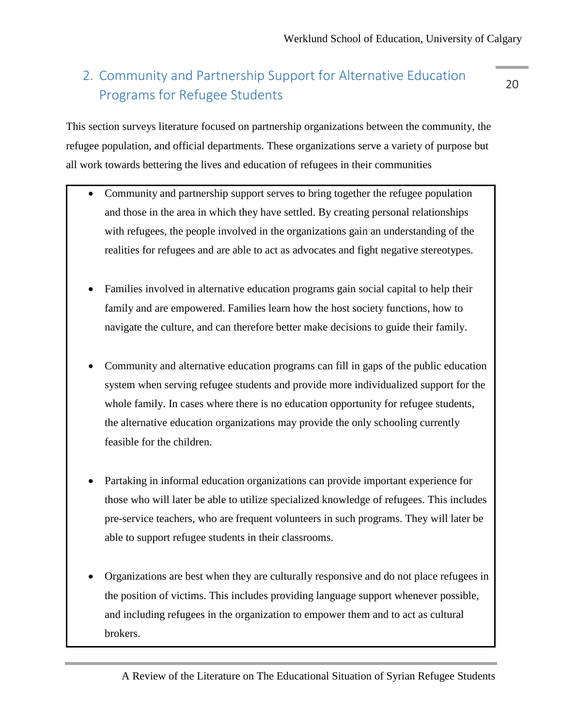# <span id="page-20-0"></span>2. Community and Partnership Support for Alternative Education Programs for Refugee Students

This section surveys literature focused on partnership organizations between the community, the refugee population, and official departments. These organizations serve a variety of purpose but all work towards bettering the lives and education of refugees in their communities

- Community and partnership support serves to bring together the refugee population and those in the area in which they have settled. By creating personal relationships with refugees, the people involved in the organizations gain an understanding of the realities for refugees and are able to act as advocates and fight negative stereotypes.
- Families involved in alternative education programs gain social capital to help their family and are empowered. Families learn how the host society functions, how to navigate the culture, and can therefore better make decisions to guide their family.
- Community and alternative education programs can fill in gaps of the public education system when serving refugee students and provide more individualized support for the whole family. In cases where there is no education opportunity for refugee students, the alternative education organizations may provide the only schooling currently feasible for the children.
- Partaking in informal education organizations can provide important experience for those who will later be able to utilize specialized knowledge of refugees. This includes pre-service teachers, who are frequent volunteers in such programs. They will later be able to support refugee students in their classrooms.
- Organizations are best when they are culturally responsive and do not place refugees in the position of victims. This includes providing language support whenever possible, and including refugees in the organization to empower them and to act as cultural brokers.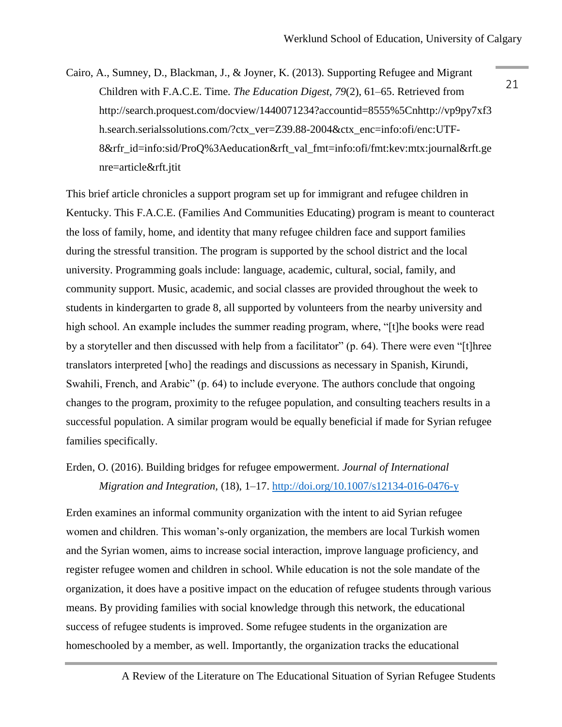Cairo, A., Sumney, D., Blackman, J., & Joyner, K. (2013). Supporting Refugee and Migrant Children with F.A.C.E. Time*. The Education Digest, 79*(2), 61–65. Retrieved from http://search.proquest.com/docview/1440071234?accountid=8555%5Cnhttp://vp9py7xf3 h.search.serialssolutions.com/?ctx\_ver=Z39.88-2004&ctx\_enc=info:ofi/enc:UTF-8&rfr\_id=info:sid/ProQ%3Aeducation&rft\_val\_fmt=info:ofi/fmt:kev:mtx:journal&rft.ge nre=article&rft.jtit

This brief article chronicles a support program set up for immigrant and refugee children in Kentucky. This F.A.C.E. (Families And Communities Educating) program is meant to counteract the loss of family, home, and identity that many refugee children face and support families during the stressful transition. The program is supported by the school district and the local university. Programming goals include: language, academic, cultural, social, family, and community support. Music, academic, and social classes are provided throughout the week to students in kindergarten to grade 8, all supported by volunteers from the nearby university and high school. An example includes the summer reading program, where, "[t]he books were read by a storyteller and then discussed with help from a facilitator" (p. 64). There were even "[t]hree translators interpreted [who] the readings and discussions as necessary in Spanish, Kirundi, Swahili, French, and Arabic" (p. 64) to include everyone. The authors conclude that ongoing changes to the program, proximity to the refugee population, and consulting teachers results in a successful population. A similar program would be equally beneficial if made for Syrian refugee families specifically.

Erden, O. (2016). Building bridges for refugee empowerment. *Journal of International Migration and Integration,* (18), 1–17.<http://doi.org/10.1007/s12134-016-0476-y>

Erden examines an informal community organization with the intent to aid Syrian refugee women and children. This woman's-only organization, the members are local Turkish women and the Syrian women, aims to increase social interaction, improve language proficiency, and register refugee women and children in school. While education is not the sole mandate of the organization, it does have a positive impact on the education of refugee students through various means. By providing families with social knowledge through this network, the educational success of refugee students is improved. Some refugee students in the organization are homeschooled by a member, as well. Importantly, the organization tracks the educational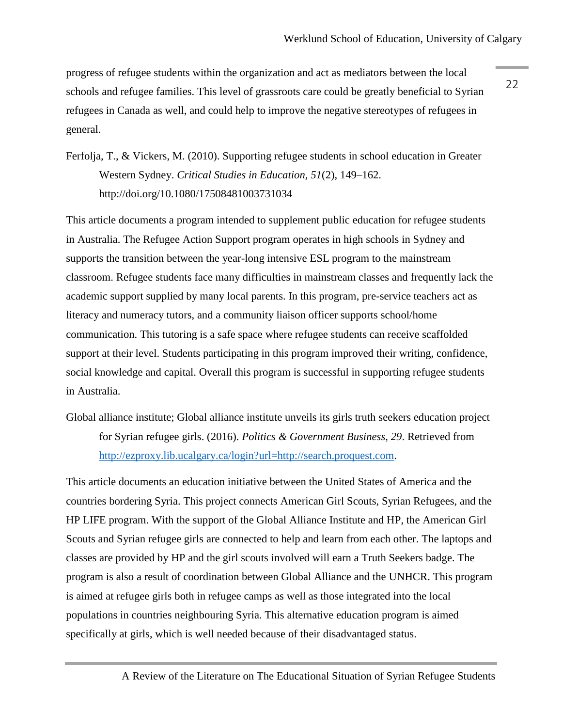22

progress of refugee students within the organization and act as mediators between the local schools and refugee families. This level of grassroots care could be greatly beneficial to Syrian refugees in Canada as well, and could help to improve the negative stereotypes of refugees in general.

Ferfolja, T., & Vickers, M. (2010). Supporting refugee students in school education in Greater Western Sydney. *Critical Studies in Education, 51*(2), 149–162. http://doi.org/10.1080/17508481003731034

This article documents a program intended to supplement public education for refugee students in Australia. The Refugee Action Support program operates in high schools in Sydney and supports the transition between the year-long intensive ESL program to the mainstream classroom. Refugee students face many difficulties in mainstream classes and frequently lack the academic support supplied by many local parents. In this program, pre-service teachers act as literacy and numeracy tutors, and a community liaison officer supports school/home communication. This tutoring is a safe space where refugee students can receive scaffolded support at their level. Students participating in this program improved their writing, confidence, social knowledge and capital. Overall this program is successful in supporting refugee students in Australia.

Global alliance institute; Global alliance institute unveils its girls truth seekers education project for Syrian refugee girls. (2016). *Politics & Government Business, 29*. Retrieved from [http://ezproxy.lib.ucalgary.ca/login?url=http://search.proquest.com.](http://ezproxy.lib.ucalgary.ca/login?url=http://search.proquest.com)

This article documents an education initiative between the United States of America and the countries bordering Syria. This project connects American Girl Scouts, Syrian Refugees, and the HP LIFE program. With the support of the Global Alliance Institute and HP, the American Girl Scouts and Syrian refugee girls are connected to help and learn from each other. The laptops and classes are provided by HP and the girl scouts involved will earn a Truth Seekers badge. The program is also a result of coordination between Global Alliance and the UNHCR. This program is aimed at refugee girls both in refugee camps as well as those integrated into the local populations in countries neighbouring Syria. This alternative education program is aimed specifically at girls, which is well needed because of their disadvantaged status.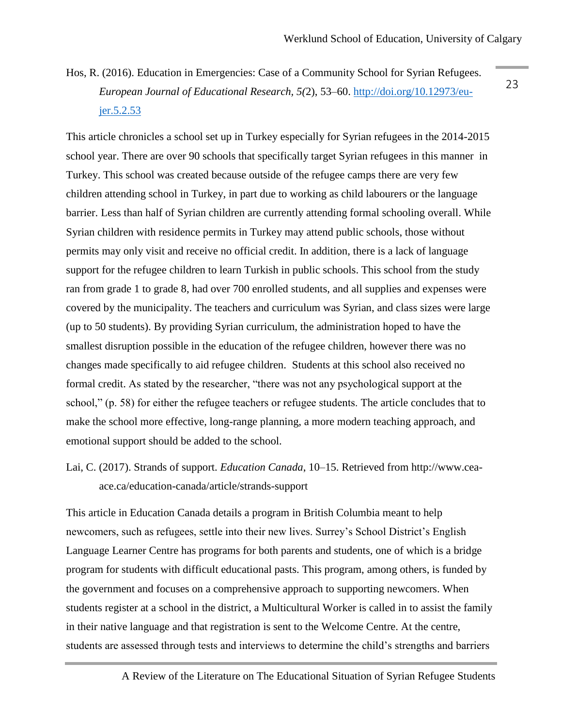Hos, R. (2016). Education in Emergencies: Case of a Community School for Syrian Refugees. *European Journal of Educational Research, 5(*2), 53–60. [http://doi.org/10.12973/eu](http://doi.org/10.12973/eu-jer.5.2.53)[jer.5.2.53](http://doi.org/10.12973/eu-jer.5.2.53)

This article chronicles a school set up in Turkey especially for Syrian refugees in the 2014-2015 school year. There are over 90 schools that specifically target Syrian refugees in this manner in Turkey. This school was created because outside of the refugee camps there are very few children attending school in Turkey, in part due to working as child labourers or the language barrier. Less than half of Syrian children are currently attending formal schooling overall. While Syrian children with residence permits in Turkey may attend public schools, those without permits may only visit and receive no official credit. In addition, there is a lack of language support for the refugee children to learn Turkish in public schools. This school from the study ran from grade 1 to grade 8, had over 700 enrolled students, and all supplies and expenses were covered by the municipality. The teachers and curriculum was Syrian, and class sizes were large (up to 50 students). By providing Syrian curriculum, the administration hoped to have the smallest disruption possible in the education of the refugee children, however there was no changes made specifically to aid refugee children. Students at this school also received no formal credit. As stated by the researcher, "there was not any psychological support at the school," (p. 58) for either the refugee teachers or refugee students. The article concludes that to make the school more effective, long-range planning, a more modern teaching approach, and emotional support should be added to the school.

Lai, C. (2017). Strands of support. *Education Canada*, 10–15. Retrieved from http://www.ceaace.ca/education-canada/article/strands-support

This article in Education Canada details a program in British Columbia meant to help newcomers, such as refugees, settle into their new lives. Surrey's School District's English Language Learner Centre has programs for both parents and students, one of which is a bridge program for students with difficult educational pasts. This program, among others, is funded by the government and focuses on a comprehensive approach to supporting newcomers. When students register at a school in the district, a Multicultural Worker is called in to assist the family in their native language and that registration is sent to the Welcome Centre. At the centre, students are assessed through tests and interviews to determine the child's strengths and barriers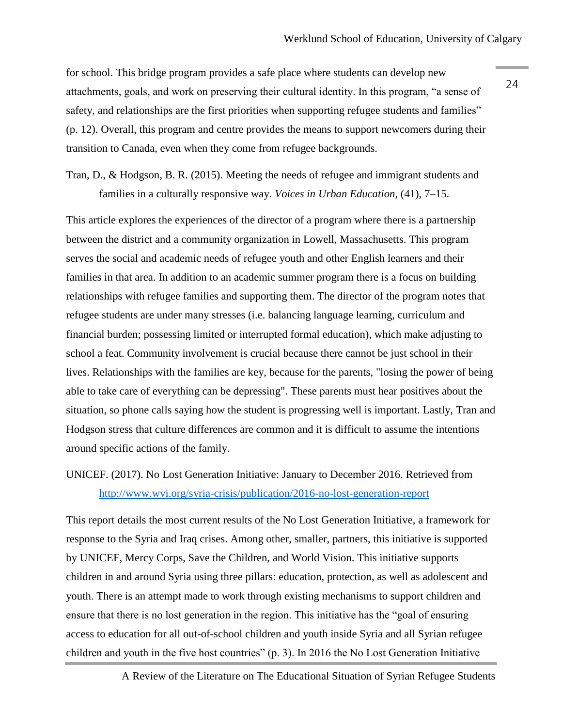for school. This bridge program provides a safe place where students can develop new attachments, goals, and work on preserving their cultural identity. In this program, "a sense of safety, and relationships are the first priorities when supporting refugee students and families" (p. 12). Overall, this program and centre provides the means to support newcomers during their transition to Canada, even when they come from refugee backgrounds.

Tran, D., & Hodgson, B. R. (2015). Meeting the needs of refugee and immigrant students and families in a culturally responsive way*. Voices in Urban Education,* (41), 7–15.

This article explores the experiences of the director of a program where there is a partnership between the district and a community organization in Lowell, Massachusetts. This program serves the social and academic needs of refugee youth and other English learners and their families in that area. In addition to an academic summer program there is a focus on building relationships with refugee families and supporting them. The director of the program notes that refugee students are under many stresses (i.e. balancing language learning, curriculum and financial burden; possessing limited or interrupted formal education), which make adjusting to school a feat. Community involvement is crucial because there cannot be just school in their lives. Relationships with the families are key, because for the parents, "losing the power of being able to take care of everything can be depressing". These parents must hear positives about the situation, so phone calls saying how the student is progressing well is important. Lastly, Tran and Hodgson stress that culture differences are common and it is difficult to assume the intentions around specific actions of the family.

### UNICEF. (2017). No Lost Generation Initiative: January to December 2016. Retrieved from <http://www.wvi.org/syria-crisis/publication/2016-no-lost-generation-report>

This report details the most current results of the No Lost Generation Initiative, a framework for response to the Syria and Iraq crises. Among other, smaller, partners, this initiative is supported by UNICEF, Mercy Corps, Save the Children, and World Vision. This initiative supports children in and around Syria using three pillars: education, protection, as well as adolescent and youth. There is an attempt made to work through existing mechanisms to support children and ensure that there is no lost generation in the region. This initiative has the "goal of ensuring access to education for all out-of-school children and youth inside Syria and all Syrian refugee children and youth in the five host countries" (p. 3). In 2016 the No Lost Generation Initiative

A Review of the Literature on The Educational Situation of Syrian Refugee Students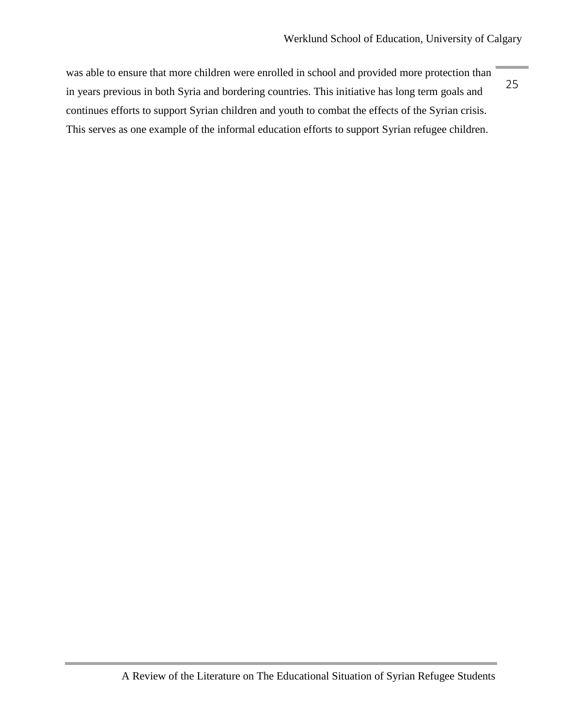25

was able to ensure that more children were enrolled in school and provided more protection than in years previous in both Syria and bordering countries. This initiative has long term goals and continues efforts to support Syrian children and youth to combat the effects of the Syrian crisis. This serves as one example of the informal education efforts to support Syrian refugee children.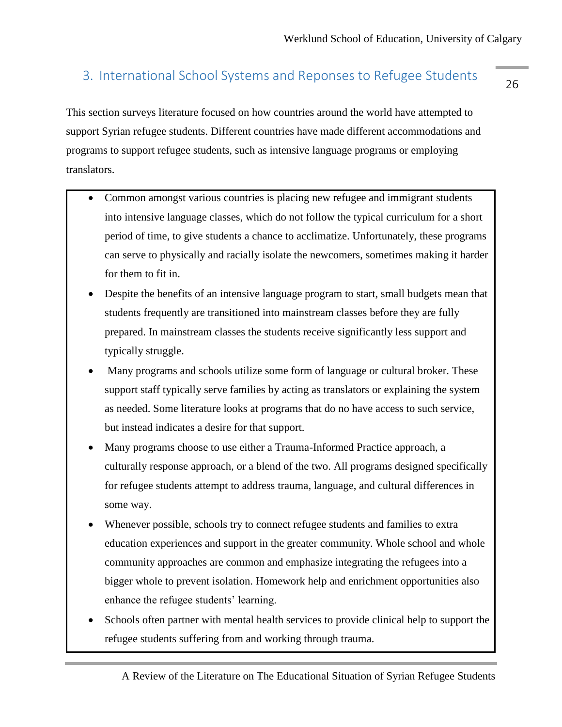### <span id="page-26-0"></span>3. International School Systems and Reponses to Refugee Students

This section surveys literature focused on how countries around the world have attempted to support Syrian refugee students. Different countries have made different accommodations and programs to support refugee students, such as intensive language programs or employing translators.

- Common amongst various countries is placing new refugee and immigrant students into intensive language classes, which do not follow the typical curriculum for a short period of time, to give students a chance to acclimatize. Unfortunately, these programs can serve to physically and racially isolate the newcomers, sometimes making it harder for them to fit in.
- Despite the benefits of an intensive language program to start, small budgets mean that students frequently are transitioned into mainstream classes before they are fully prepared. In mainstream classes the students receive significantly less support and typically struggle.
- Many programs and schools utilize some form of language or cultural broker. These support staff typically serve families by acting as translators or explaining the system as needed. Some literature looks at programs that do no have access to such service, but instead indicates a desire for that support.
- Many programs choose to use either a Trauma-Informed Practice approach, a culturally response approach, or a blend of the two. All programs designed specifically for refugee students attempt to address trauma, language, and cultural differences in some way.
- Whenever possible, schools try to connect refugee students and families to extra education experiences and support in the greater community. Whole school and whole community approaches are common and emphasize integrating the refugees into a bigger whole to prevent isolation. Homework help and enrichment opportunities also enhance the refugee students' learning.
- Schools often partner with mental health services to provide clinical help to support the refugee students suffering from and working through trauma.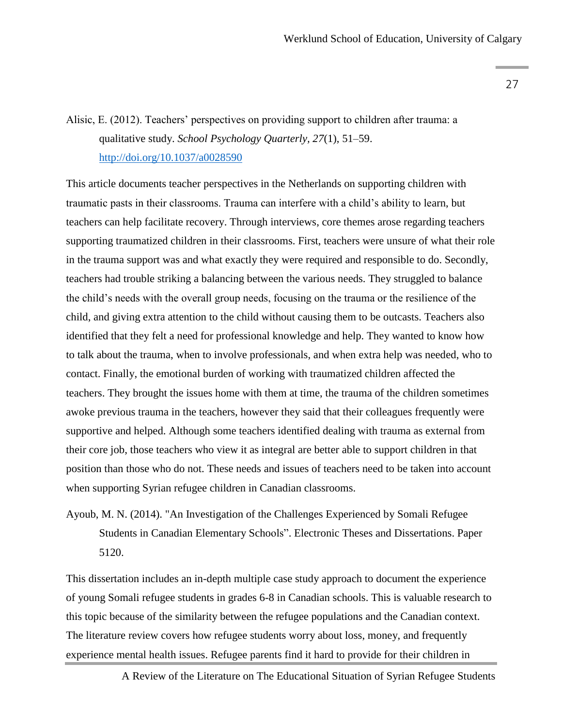27

## Alisic, E. (2012). Teachers' perspectives on providing support to children after trauma: a qualitative study. *School Psychology Quarterly, 27*(1), 51–59. <http://doi.org/10.1037/a0028590>

This article documents teacher perspectives in the Netherlands on supporting children with traumatic pasts in their classrooms. Trauma can interfere with a child's ability to learn, but teachers can help facilitate recovery. Through interviews, core themes arose regarding teachers supporting traumatized children in their classrooms. First, teachers were unsure of what their role in the trauma support was and what exactly they were required and responsible to do. Secondly, teachers had trouble striking a balancing between the various needs. They struggled to balance the child's needs with the overall group needs, focusing on the trauma or the resilience of the child, and giving extra attention to the child without causing them to be outcasts. Teachers also identified that they felt a need for professional knowledge and help. They wanted to know how to talk about the trauma, when to involve professionals, and when extra help was needed, who to contact. Finally, the emotional burden of working with traumatized children affected the teachers. They brought the issues home with them at time, the trauma of the children sometimes awoke previous trauma in the teachers, however they said that their colleagues frequently were supportive and helped. Although some teachers identified dealing with trauma as external from their core job, those teachers who view it as integral are better able to support children in that position than those who do not. These needs and issues of teachers need to be taken into account when supporting Syrian refugee children in Canadian classrooms.

Ayoub, M. N. (2014). "An Investigation of the Challenges Experienced by Somali Refugee Students in Canadian Elementary Schools". Electronic Theses and Dissertations. Paper 5120.

This dissertation includes an in-depth multiple case study approach to document the experience of young Somali refugee students in grades 6-8 in Canadian schools. This is valuable research to this topic because of the similarity between the refugee populations and the Canadian context. The literature review covers how refugee students worry about loss, money, and frequently experience mental health issues. Refugee parents find it hard to provide for their children in

A Review of the Literature on The Educational Situation of Syrian Refugee Students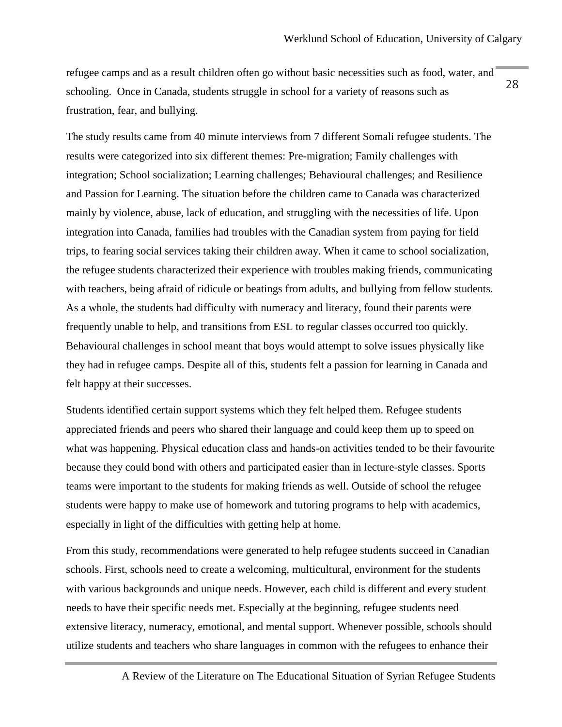refugee camps and as a result children often go without basic necessities such as food, water, and schooling. Once in Canada, students struggle in school for a variety of reasons such as frustration, fear, and bullying.

The study results came from 40 minute interviews from 7 different Somali refugee students. The results were categorized into six different themes: Pre-migration; Family challenges with integration; School socialization; Learning challenges; Behavioural challenges; and Resilience and Passion for Learning. The situation before the children came to Canada was characterized mainly by violence, abuse, lack of education, and struggling with the necessities of life. Upon integration into Canada, families had troubles with the Canadian system from paying for field trips, to fearing social services taking their children away. When it came to school socialization, the refugee students characterized their experience with troubles making friends, communicating with teachers, being afraid of ridicule or beatings from adults, and bullying from fellow students. As a whole, the students had difficulty with numeracy and literacy, found their parents were frequently unable to help, and transitions from ESL to regular classes occurred too quickly. Behavioural challenges in school meant that boys would attempt to solve issues physically like they had in refugee camps. Despite all of this, students felt a passion for learning in Canada and felt happy at their successes.

Students identified certain support systems which they felt helped them. Refugee students appreciated friends and peers who shared their language and could keep them up to speed on what was happening. Physical education class and hands-on activities tended to be their favourite because they could bond with others and participated easier than in lecture-style classes. Sports teams were important to the students for making friends as well. Outside of school the refugee students were happy to make use of homework and tutoring programs to help with academics, especially in light of the difficulties with getting help at home.

From this study, recommendations were generated to help refugee students succeed in Canadian schools. First, schools need to create a welcoming, multicultural, environment for the students with various backgrounds and unique needs. However, each child is different and every student needs to have their specific needs met. Especially at the beginning, refugee students need extensive literacy, numeracy, emotional, and mental support. Whenever possible, schools should utilize students and teachers who share languages in common with the refugees to enhance their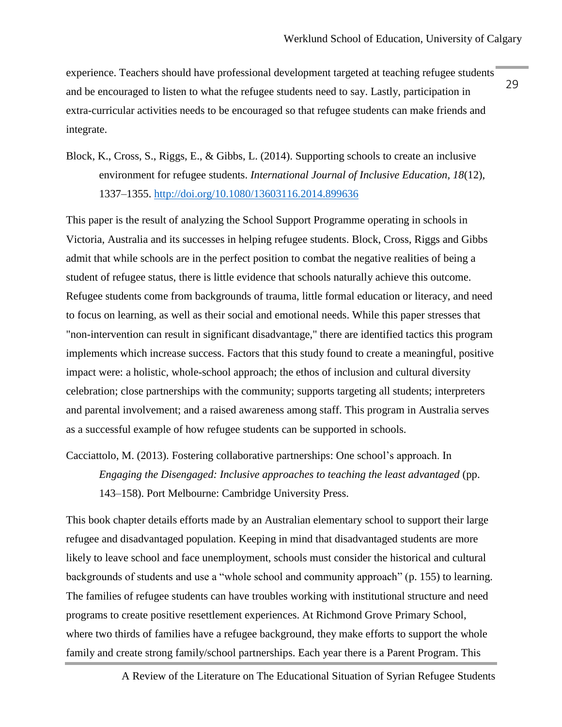experience. Teachers should have professional development targeted at teaching refugee students and be encouraged to listen to what the refugee students need to say. Lastly, participation in extra-curricular activities needs to be encouraged so that refugee students can make friends and integrate.

Block, K., Cross, S., Riggs, E., & Gibbs, L. (2014). Supporting schools to create an inclusive environment for refugee students. *International Journal of Inclusive Education, 18*(12), 1337–1355.<http://doi.org/10.1080/13603116.2014.899636>

This paper is the result of analyzing the School Support Programme operating in schools in Victoria, Australia and its successes in helping refugee students. Block, Cross, Riggs and Gibbs admit that while schools are in the perfect position to combat the negative realities of being a student of refugee status, there is little evidence that schools naturally achieve this outcome. Refugee students come from backgrounds of trauma, little formal education or literacy, and need to focus on learning, as well as their social and emotional needs. While this paper stresses that "non-intervention can result in significant disadvantage," there are identified tactics this program implements which increase success. Factors that this study found to create a meaningful, positive impact were: a holistic, whole-school approach; the ethos of inclusion and cultural diversity celebration; close partnerships with the community; supports targeting all students; interpreters and parental involvement; and a raised awareness among staff. This program in Australia serves as a successful example of how refugee students can be supported in schools.

Cacciattolo, M. (2013). Fostering collaborative partnerships: One school's approach. In *Engaging the Disengaged: Inclusive approaches to teaching the least advantaged* (pp. 143–158). Port Melbourne: Cambridge University Press.

This book chapter details efforts made by an Australian elementary school to support their large refugee and disadvantaged population. Keeping in mind that disadvantaged students are more likely to leave school and face unemployment, schools must consider the historical and cultural backgrounds of students and use a "whole school and community approach" (p. 155) to learning. The families of refugee students can have troubles working with institutional structure and need programs to create positive resettlement experiences. At Richmond Grove Primary School, where two thirds of families have a refugee background, they make efforts to support the whole family and create strong family/school partnerships. Each year there is a Parent Program. This

A Review of the Literature on The Educational Situation of Syrian Refugee Students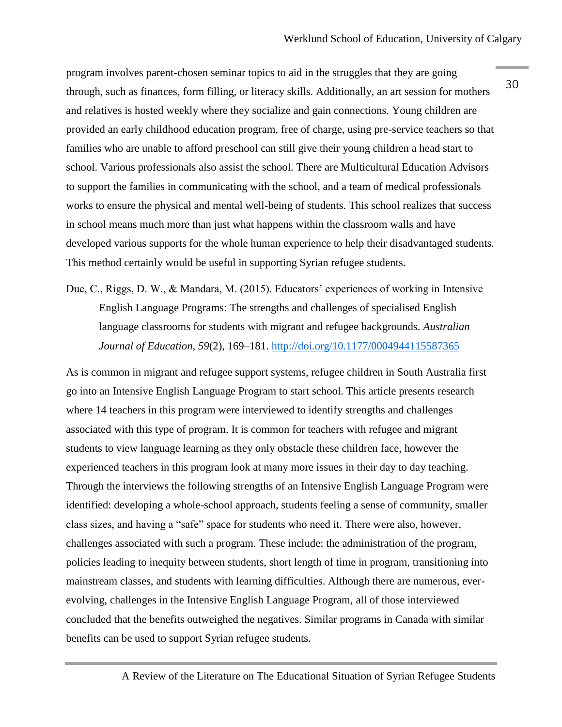program involves parent-chosen seminar topics to aid in the struggles that they are going through, such as finances, form filling, or literacy skills. Additionally, an art session for mothers and relatives is hosted weekly where they socialize and gain connections. Young children are provided an early childhood education program, free of charge, using pre-service teachers so that families who are unable to afford preschool can still give their young children a head start to school. Various professionals also assist the school. There are Multicultural Education Advisors to support the families in communicating with the school, and a team of medical professionals works to ensure the physical and mental well-being of students. This school realizes that success in school means much more than just what happens within the classroom walls and have developed various supports for the whole human experience to help their disadvantaged students. This method certainly would be useful in supporting Syrian refugee students.

Due, C., Riggs, D. W., & Mandara, M. (2015). Educators' experiences of working in Intensive English Language Programs: The strengths and challenges of specialised English language classrooms for students with migrant and refugee backgrounds. *Australian Journal of Education, 59*(2), 169–181.<http://doi.org/10.1177/0004944115587365>

As is common in migrant and refugee support systems, refugee children in South Australia first go into an Intensive English Language Program to start school. This article presents research where 14 teachers in this program were interviewed to identify strengths and challenges associated with this type of program. It is common for teachers with refugee and migrant students to view language learning as they only obstacle these children face, however the experienced teachers in this program look at many more issues in their day to day teaching. Through the interviews the following strengths of an Intensive English Language Program were identified: developing a whole-school approach, students feeling a sense of community, smaller class sizes, and having a "safe" space for students who need it. There were also, however, challenges associated with such a program. These include: the administration of the program, policies leading to inequity between students, short length of time in program, transitioning into mainstream classes, and students with learning difficulties. Although there are numerous, everevolving, challenges in the Intensive English Language Program, all of those interviewed concluded that the benefits outweighed the negatives. Similar programs in Canada with similar benefits can be used to support Syrian refugee students.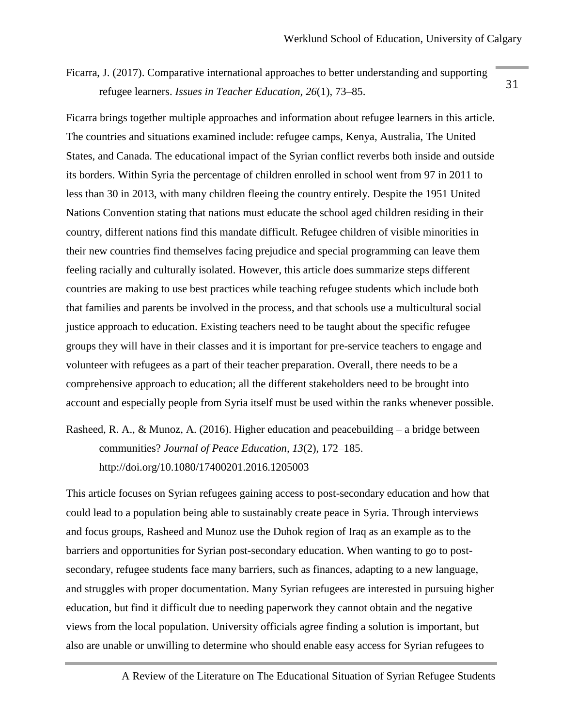Ficarra, J. (2017). Comparative international approaches to better understanding and supporting refugee learners. *Issues in Teacher Education, 26*(1), 73–85.

Ficarra brings together multiple approaches and information about refugee learners in this article. The countries and situations examined include: refugee camps, Kenya, Australia, The United States, and Canada. The educational impact of the Syrian conflict reverbs both inside and outside its borders. Within Syria the percentage of children enrolled in school went from 97 in 2011 to less than 30 in 2013, with many children fleeing the country entirely. Despite the 1951 United Nations Convention stating that nations must educate the school aged children residing in their country, different nations find this mandate difficult. Refugee children of visible minorities in their new countries find themselves facing prejudice and special programming can leave them feeling racially and culturally isolated. However, this article does summarize steps different countries are making to use best practices while teaching refugee students which include both that families and parents be involved in the process, and that schools use a multicultural social justice approach to education. Existing teachers need to be taught about the specific refugee groups they will have in their classes and it is important for pre-service teachers to engage and volunteer with refugees as a part of their teacher preparation. Overall, there needs to be a comprehensive approach to education; all the different stakeholders need to be brought into account and especially people from Syria itself must be used within the ranks whenever possible.

Rasheed, R. A., & Munoz, A. (2016). Higher education and peacebuilding – a bridge between communities? *Journal of Peace Education, 13*(2), 172–185. http://doi.org/10.1080/17400201.2016.1205003

This article focuses on Syrian refugees gaining access to post-secondary education and how that could lead to a population being able to sustainably create peace in Syria. Through interviews and focus groups, Rasheed and Munoz use the Duhok region of Iraq as an example as to the barriers and opportunities for Syrian post-secondary education. When wanting to go to postsecondary, refugee students face many barriers, such as finances, adapting to a new language, and struggles with proper documentation. Many Syrian refugees are interested in pursuing higher education, but find it difficult due to needing paperwork they cannot obtain and the negative views from the local population. University officials agree finding a solution is important, but also are unable or unwilling to determine who should enable easy access for Syrian refugees to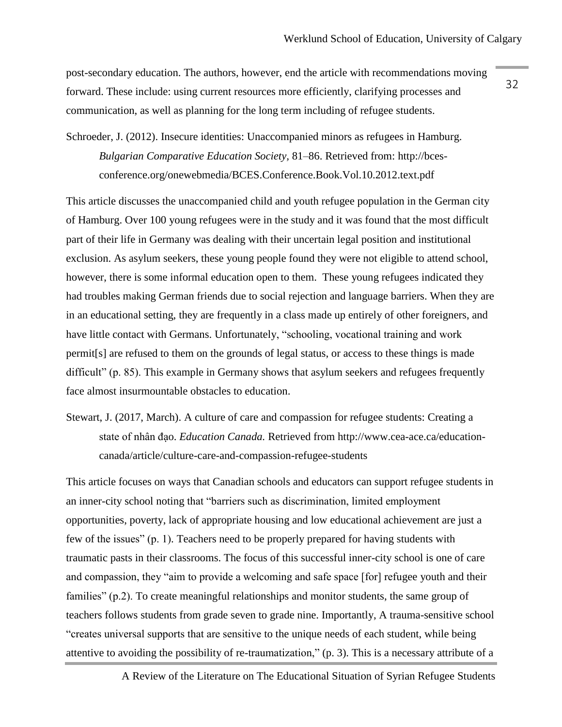post-secondary education. The authors, however, end the article with recommendations moving forward. These include: using current resources more efficiently, clarifying processes and communication, as well as planning for the long term including of refugee students.

32

Schroeder, J. (2012). Insecure identities: Unaccompanied minors as refugees in Hamburg. *Bulgarian Comparative Education Society,* 81–86. Retrieved from: http://bcesconference.org/onewebmedia/BCES.Conference.Book.Vol.10.2012.text.pdf

This article discusses the unaccompanied child and youth refugee population in the German city of Hamburg. Over 100 young refugees were in the study and it was found that the most difficult part of their life in Germany was dealing with their uncertain legal position and institutional exclusion. As asylum seekers, these young people found they were not eligible to attend school, however, there is some informal education open to them. These young refugees indicated they had troubles making German friends due to social rejection and language barriers. When they are in an educational setting, they are frequently in a class made up entirely of other foreigners, and have little contact with Germans. Unfortunately, "schooling, vocational training and work permit[s] are refused to them on the grounds of legal status, or access to these things is made difficult" (p. 85). This example in Germany shows that asylum seekers and refugees frequently face almost insurmountable obstacles to education.

Stewart, J. (2017, March). A culture of care and compassion for refugee students: Creating a state of nhân đạo. *Education Canada.* Retrieved from http://www.cea-ace.ca/educationcanada/article/culture-care-and-compassion-refugee-students

This article focuses on ways that Canadian schools and educators can support refugee students in an inner-city school noting that "barriers such as discrimination, limited employment opportunities, poverty, lack of appropriate housing and low educational achievement are just a few of the issues" (p. 1). Teachers need to be properly prepared for having students with traumatic pasts in their classrooms. The focus of this successful inner-city school is one of care and compassion, they "aim to provide a welcoming and safe space [for] refugee youth and their families" (p.2). To create meaningful relationships and monitor students, the same group of teachers follows students from grade seven to grade nine. Importantly, A trauma-sensitive school "creates universal supports that are sensitive to the unique needs of each student, while being attentive to avoiding the possibility of re-traumatization," (p. 3). This is a necessary attribute of a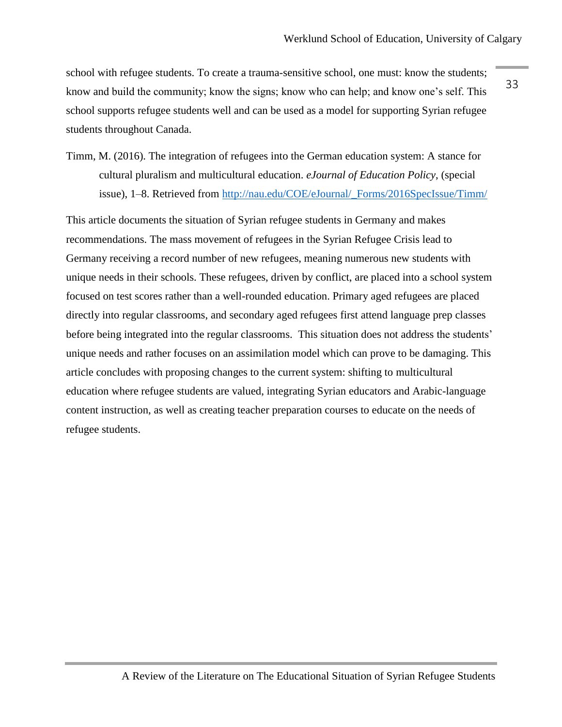school with refugee students. To create a trauma-sensitive school, one must: know the students; know and build the community; know the signs; know who can help; and know one's self. This school supports refugee students well and can be used as a model for supporting Syrian refugee students throughout Canada.

Timm, M. (2016). The integration of refugees into the German education system: A stance for cultural pluralism and multicultural education. *eJournal of Education Policy*, (special issue), 1–8. Retrieved from [http://nau.edu/COE/eJournal/\\_Forms/2016SpecIssue/Timm/](http://nau.edu/COE/eJournal/_Forms/2016SpecIssue/Timm/)

This article documents the situation of Syrian refugee students in Germany and makes recommendations. The mass movement of refugees in the Syrian Refugee Crisis lead to Germany receiving a record number of new refugees, meaning numerous new students with unique needs in their schools. These refugees, driven by conflict, are placed into a school system focused on test scores rather than a well-rounded education. Primary aged refugees are placed directly into regular classrooms, and secondary aged refugees first attend language prep classes before being integrated into the regular classrooms. This situation does not address the students' unique needs and rather focuses on an assimilation model which can prove to be damaging. This article concludes with proposing changes to the current system: shifting to multicultural education where refugee students are valued, integrating Syrian educators and Arabic-language content instruction, as well as creating teacher preparation courses to educate on the needs of refugee students.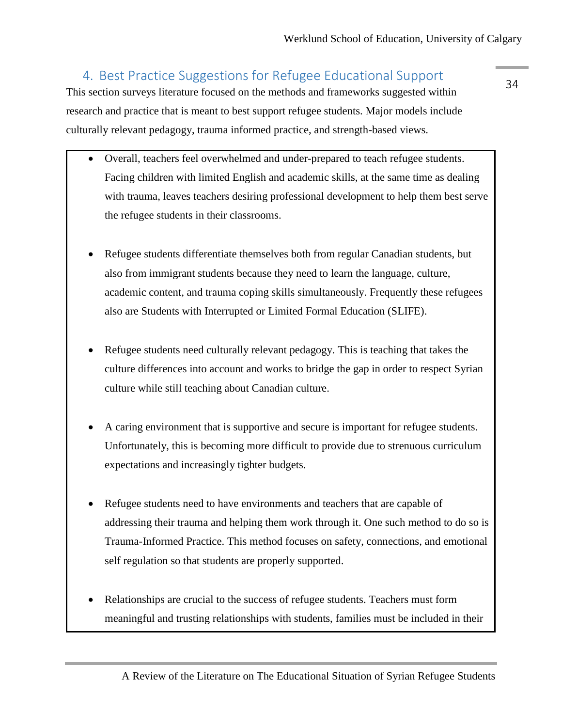# <span id="page-34-0"></span>4. Best Practice Suggestions for Refugee Educational Support

This section surveys literature focused on the methods and frameworks suggested within research and practice that is meant to best support refugee students. Major models include culturally relevant pedagogy, trauma informed practice, and strength-based views.

- Overall, teachers feel overwhelmed and under-prepared to teach refugee students. Facing children with limited English and academic skills, at the same time as dealing with trauma, leaves teachers desiring professional development to help them best serve the refugee students in their classrooms.
- Refugee students differentiate themselves both from regular Canadian students, but also from immigrant students because they need to learn the language, culture, academic content, and trauma coping skills simultaneously. Frequently these refugees also are Students with Interrupted or Limited Formal Education (SLIFE).
- Refugee students need culturally relevant pedagogy. This is teaching that takes the culture differences into account and works to bridge the gap in order to respect Syrian culture while still teaching about Canadian culture.
- A caring environment that is supportive and secure is important for refugee students. Unfortunately, this is becoming more difficult to provide due to strenuous curriculum expectations and increasingly tighter budgets.
- Refugee students need to have environments and teachers that are capable of addressing their trauma and helping them work through it. One such method to do so is Trauma-Informed Practice. This method focuses on safety, connections, and emotional self regulation so that students are properly supported.
- Relationships are crucial to the success of refugee students. Teachers must form meaningful and trusting relationships with students, families must be included in their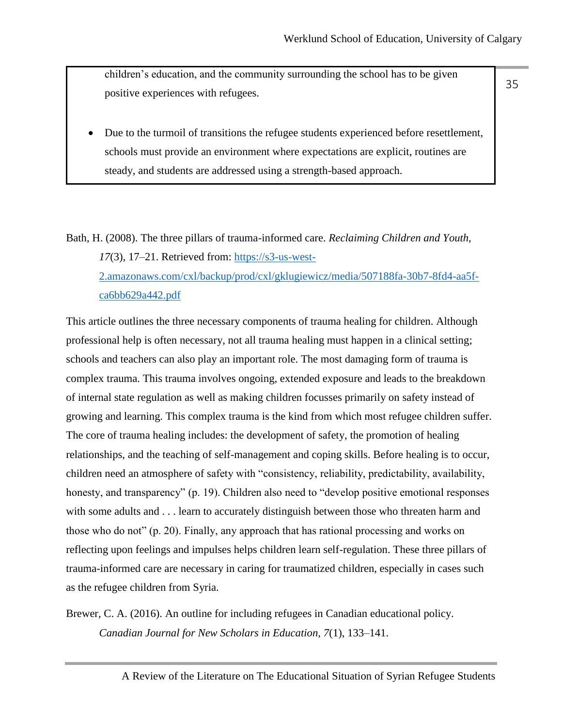children's education, and the community surrounding the school has to be given positive experiences with refugees.

• Due to the turmoil of transitions the refugee students experienced before resettlement, schools must provide an environment where expectations are explicit, routines are steady, and students are addressed using a strength-based approach.

Bath, H. (2008). The three pillars of trauma-informed care. *Reclaiming Children and Youth, 17*(3), 17–21. Retrieved from: [https://s3-us-west-](https://s3-us-west-2.amazonaws.com/cxl/backup/prod/cxl/gklugiewicz/media/507188fa-30b7-8fd4-aa5f-ca6bb629a442.pdf)[2.amazonaws.com/cxl/backup/prod/cxl/gklugiewicz/media/507188fa-30b7-8fd4-aa5f](https://s3-us-west-2.amazonaws.com/cxl/backup/prod/cxl/gklugiewicz/media/507188fa-30b7-8fd4-aa5f-ca6bb629a442.pdf)[ca6bb629a442.pdf](https://s3-us-west-2.amazonaws.com/cxl/backup/prod/cxl/gklugiewicz/media/507188fa-30b7-8fd4-aa5f-ca6bb629a442.pdf)

This article outlines the three necessary components of trauma healing for children. Although professional help is often necessary, not all trauma healing must happen in a clinical setting; schools and teachers can also play an important role. The most damaging form of trauma is complex trauma. This trauma involves ongoing, extended exposure and leads to the breakdown of internal state regulation as well as making children focusses primarily on safety instead of growing and learning. This complex trauma is the kind from which most refugee children suffer. The core of trauma healing includes: the development of safety, the promotion of healing relationships, and the teaching of self-management and coping skills. Before healing is to occur, children need an atmosphere of safety with "consistency, reliability, predictability, availability, honesty, and transparency" (p. 19). Children also need to "develop positive emotional responses with some adults and . . . learn to accurately distinguish between those who threaten harm and those who do not" (p. 20). Finally, any approach that has rational processing and works on reflecting upon feelings and impulses helps children learn self-regulation. These three pillars of trauma-informed care are necessary in caring for traumatized children, especially in cases such as the refugee children from Syria.

Brewer, C. A. (2016). An outline for including refugees in Canadian educational policy. *Canadian Journal for New Scholars in Education, 7*(1), 133–141.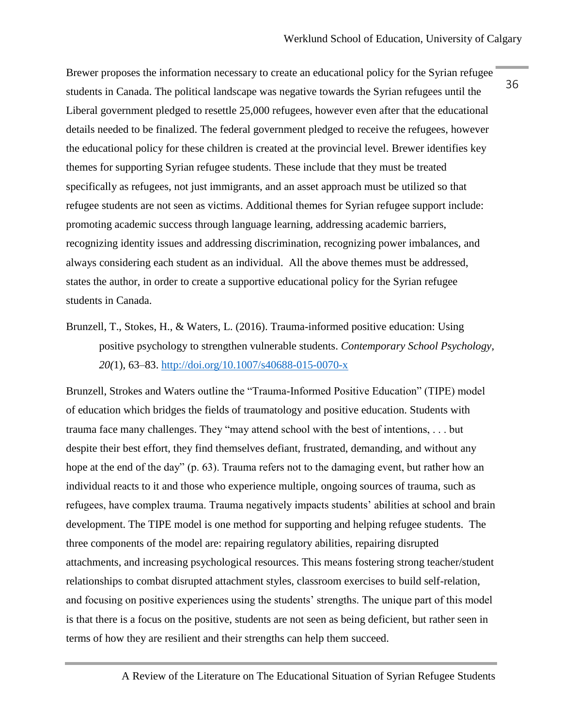Brewer proposes the information necessary to create an educational policy for the Syrian refugee students in Canada. The political landscape was negative towards the Syrian refugees until the Liberal government pledged to resettle 25,000 refugees, however even after that the educational details needed to be finalized. The federal government pledged to receive the refugees, however the educational policy for these children is created at the provincial level. Brewer identifies key themes for supporting Syrian refugee students. These include that they must be treated specifically as refugees, not just immigrants, and an asset approach must be utilized so that refugee students are not seen as victims. Additional themes for Syrian refugee support include: promoting academic success through language learning, addressing academic barriers, recognizing identity issues and addressing discrimination, recognizing power imbalances, and always considering each student as an individual. All the above themes must be addressed, states the author, in order to create a supportive educational policy for the Syrian refugee students in Canada.

Brunzell, T., Stokes, H., & Waters, L. (2016). Trauma-informed positive education: Using positive psychology to strengthen vulnerable students. *Contemporary School Psychology, 20(*1), 63–83.<http://doi.org/10.1007/s40688-015-0070-x>

Brunzell, Strokes and Waters outline the "Trauma-Informed Positive Education" (TIPE) model of education which bridges the fields of traumatology and positive education. Students with trauma face many challenges. They "may attend school with the best of intentions, . . . but despite their best effort, they find themselves defiant, frustrated, demanding, and without any hope at the end of the day" (p. 63). Trauma refers not to the damaging event, but rather how an individual reacts to it and those who experience multiple, ongoing sources of trauma, such as refugees, have complex trauma. Trauma negatively impacts students' abilities at school and brain development. The TIPE model is one method for supporting and helping refugee students. The three components of the model are: repairing regulatory abilities, repairing disrupted attachments, and increasing psychological resources. This means fostering strong teacher/student relationships to combat disrupted attachment styles, classroom exercises to build self-relation, and focusing on positive experiences using the students' strengths. The unique part of this model is that there is a focus on the positive, students are not seen as being deficient, but rather seen in terms of how they are resilient and their strengths can help them succeed.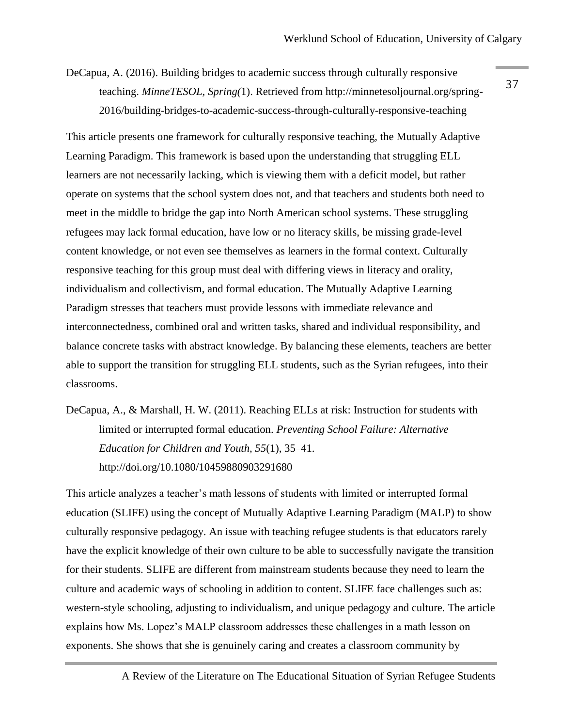DeCapua, A. (2016). Building bridges to academic success through culturally responsive teaching. *MinneTESOL, Spring(*1). Retrieved from http://minnetesoljournal.org/spring-2016/building-bridges-to-academic-success-through-culturally-responsive-teaching

This article presents one framework for culturally responsive teaching, the Mutually Adaptive Learning Paradigm. This framework is based upon the understanding that struggling ELL learners are not necessarily lacking, which is viewing them with a deficit model, but rather operate on systems that the school system does not, and that teachers and students both need to meet in the middle to bridge the gap into North American school systems. These struggling refugees may lack formal education, have low or no literacy skills, be missing grade-level content knowledge, or not even see themselves as learners in the formal context. Culturally responsive teaching for this group must deal with differing views in literacy and orality, individualism and collectivism, and formal education. The Mutually Adaptive Learning Paradigm stresses that teachers must provide lessons with immediate relevance and interconnectedness, combined oral and written tasks, shared and individual responsibility, and balance concrete tasks with abstract knowledge. By balancing these elements, teachers are better able to support the transition for struggling ELL students, such as the Syrian refugees, into their classrooms.

DeCapua, A., & Marshall, H. W. (2011). Reaching ELLs at risk: Instruction for students with limited or interrupted formal education. *Preventing School Failure: Alternative Education for Children and Youth, 55*(1), 35–41. http://doi.org/10.1080/10459880903291680

This article analyzes a teacher's math lessons of students with limited or interrupted formal education (SLIFE) using the concept of Mutually Adaptive Learning Paradigm (MALP) to show culturally responsive pedagogy. An issue with teaching refugee students is that educators rarely have the explicit knowledge of their own culture to be able to successfully navigate the transition for their students. SLIFE are different from mainstream students because they need to learn the culture and academic ways of schooling in addition to content. SLIFE face challenges such as: western-style schooling, adjusting to individualism, and unique pedagogy and culture. The article explains how Ms. Lopez's MALP classroom addresses these challenges in a math lesson on exponents. She shows that she is genuinely caring and creates a classroom community by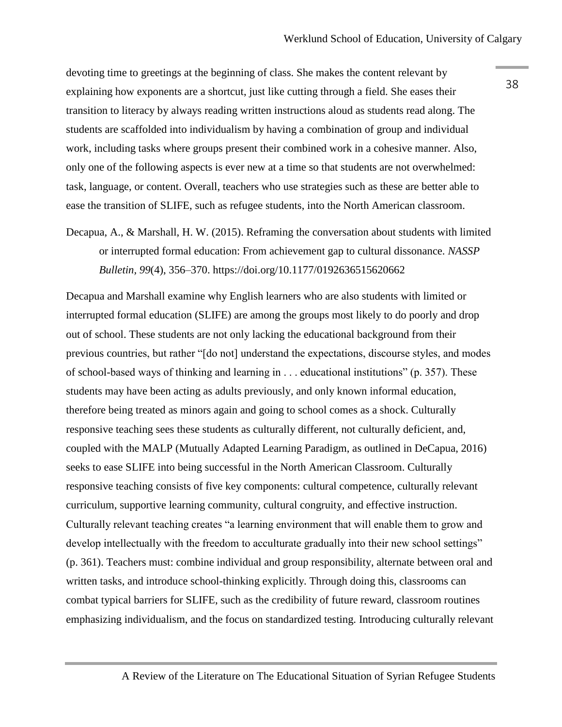devoting time to greetings at the beginning of class. She makes the content relevant by explaining how exponents are a shortcut, just like cutting through a field. She eases their transition to literacy by always reading written instructions aloud as students read along. The students are scaffolded into individualism by having a combination of group and individual work, including tasks where groups present their combined work in a cohesive manner. Also, only one of the following aspects is ever new at a time so that students are not overwhelmed: task, language, or content. Overall, teachers who use strategies such as these are better able to ease the transition of SLIFE, such as refugee students, into the North American classroom.

Decapua, A., & Marshall, H. W. (2015). Reframing the conversation about students with limited or interrupted formal education: From achievement gap to cultural dissonance. *NASSP Bulletin, 99*(4), 356–370. https://doi.org/10.1177/0192636515620662

Decapua and Marshall examine why English learners who are also students with limited or interrupted formal education (SLIFE) are among the groups most likely to do poorly and drop out of school. These students are not only lacking the educational background from their previous countries, but rather "[do not] understand the expectations, discourse styles, and modes of school-based ways of thinking and learning in . . . educational institutions" (p. 357). These students may have been acting as adults previously, and only known informal education, therefore being treated as minors again and going to school comes as a shock. Culturally responsive teaching sees these students as culturally different, not culturally deficient, and, coupled with the MALP (Mutually Adapted Learning Paradigm, as outlined in DeCapua, 2016) seeks to ease SLIFE into being successful in the North American Classroom. Culturally responsive teaching consists of five key components: cultural competence, culturally relevant curriculum, supportive learning community, cultural congruity, and effective instruction. Culturally relevant teaching creates "a learning environment that will enable them to grow and develop intellectually with the freedom to acculturate gradually into their new school settings" (p. 361). Teachers must: combine individual and group responsibility, alternate between oral and written tasks, and introduce school-thinking explicitly. Through doing this, classrooms can combat typical barriers for SLIFE, such as the credibility of future reward, classroom routines emphasizing individualism, and the focus on standardized testing. Introducing culturally relevant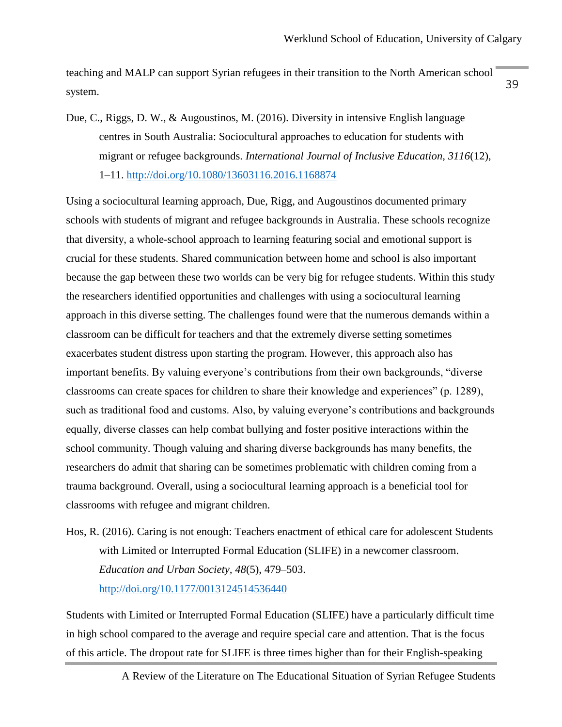teaching and MALP can support Syrian refugees in their transition to the North American school system.

Due, C., Riggs, D. W., & Augoustinos, M. (2016). Diversity in intensive English language centres in South Australia: Sociocultural approaches to education for students with migrant or refugee backgrounds. *International Journal of Inclusive Education, 3116*(12), 1–11.<http://doi.org/10.1080/13603116.2016.1168874>

Using a sociocultural learning approach, Due, Rigg, and Augoustinos documented primary schools with students of migrant and refugee backgrounds in Australia. These schools recognize that diversity, a whole-school approach to learning featuring social and emotional support is crucial for these students. Shared communication between home and school is also important because the gap between these two worlds can be very big for refugee students. Within this study the researchers identified opportunities and challenges with using a sociocultural learning approach in this diverse setting. The challenges found were that the numerous demands within a classroom can be difficult for teachers and that the extremely diverse setting sometimes exacerbates student distress upon starting the program. However, this approach also has important benefits. By valuing everyone's contributions from their own backgrounds, "diverse classrooms can create spaces for children to share their knowledge and experiences" (p. 1289), such as traditional food and customs. Also, by valuing everyone's contributions and backgrounds equally, diverse classes can help combat bullying and foster positive interactions within the school community. Though valuing and sharing diverse backgrounds has many benefits, the researchers do admit that sharing can be sometimes problematic with children coming from a trauma background. Overall, using a sociocultural learning approach is a beneficial tool for classrooms with refugee and migrant children.

Hos, R. (2016). Caring is not enough: Teachers enactment of ethical care for adolescent Students with Limited or Interrupted Formal Education (SLIFE) in a newcomer classroom. *Education and Urban Society, 48*(5), 479–503. <http://doi.org/10.1177/0013124514536440>

Students with Limited or Interrupted Formal Education (SLIFE) have a particularly difficult time in high school compared to the average and require special care and attention. That is the focus of this article. The dropout rate for SLIFE is three times higher than for their English-speaking

A Review of the Literature on The Educational Situation of Syrian Refugee Students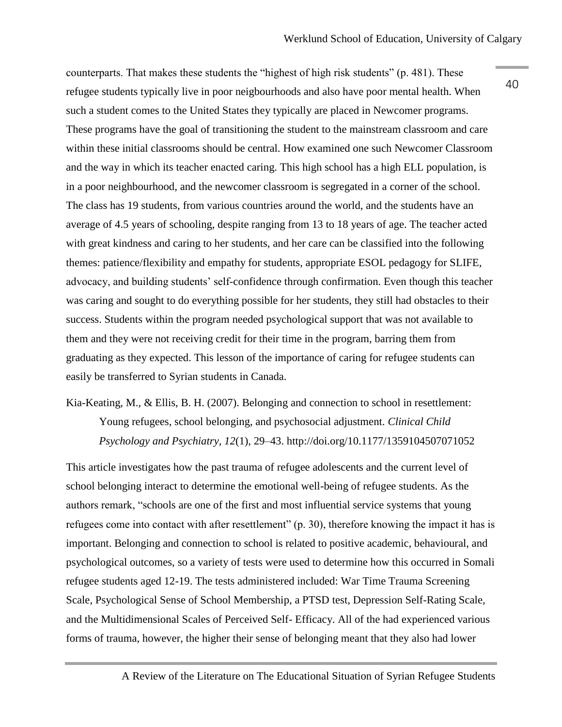counterparts. That makes these students the "highest of high risk students" (p. 481). These refugee students typically live in poor neigbourhoods and also have poor mental health. When such a student comes to the United States they typically are placed in Newcomer programs. These programs have the goal of transitioning the student to the mainstream classroom and care within these initial classrooms should be central. How examined one such Newcomer Classroom and the way in which its teacher enacted caring. This high school has a high ELL population, is in a poor neighbourhood, and the newcomer classroom is segregated in a corner of the school. The class has 19 students, from various countries around the world, and the students have an average of 4.5 years of schooling, despite ranging from 13 to 18 years of age. The teacher acted with great kindness and caring to her students, and her care can be classified into the following themes: patience/flexibility and empathy for students, appropriate ESOL pedagogy for SLIFE, advocacy, and building students' self-confidence through confirmation. Even though this teacher was caring and sought to do everything possible for her students, they still had obstacles to their success. Students within the program needed psychological support that was not available to them and they were not receiving credit for their time in the program, barring them from graduating as they expected. This lesson of the importance of caring for refugee students can easily be transferred to Syrian students in Canada.

Kia-Keating, M., & Ellis, B. H. (2007). Belonging and connection to school in resettlement: Young refugees, school belonging, and psychosocial adjustment. *Clinical Child Psychology and Psychiatry, 12*(1), 29–43. http://doi.org/10.1177/1359104507071052

This article investigates how the past trauma of refugee adolescents and the current level of school belonging interact to determine the emotional well-being of refugee students. As the authors remark, "schools are one of the first and most influential service systems that young refugees come into contact with after resettlement" (p. 30), therefore knowing the impact it has is important. Belonging and connection to school is related to positive academic, behavioural, and psychological outcomes, so a variety of tests were used to determine how this occurred in Somali refugee students aged 12-19. The tests administered included: War Time Trauma Screening Scale, Psychological Sense of School Membership, a PTSD test, Depression Self-Rating Scale, and the Multidimensional Scales of Perceived Self- Efficacy. All of the had experienced various forms of trauma, however, the higher their sense of belonging meant that they also had lower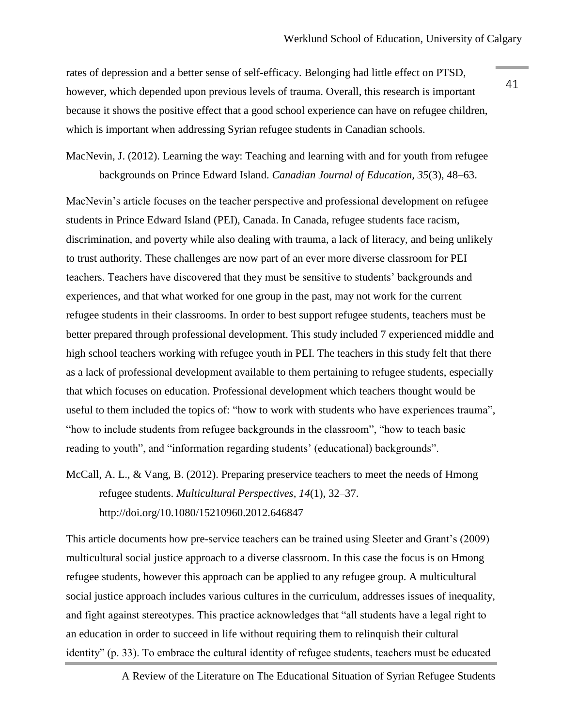rates of depression and a better sense of self-efficacy. Belonging had little effect on PTSD, however, which depended upon previous levels of trauma. Overall, this research is important because it shows the positive effect that a good school experience can have on refugee children, which is important when addressing Syrian refugee students in Canadian schools.

MacNevin, J. (2012). Learning the way: Teaching and learning with and for youth from refugee backgrounds on Prince Edward Island. *Canadian Journal of Education, 35*(3), 48–63.

MacNevin's article focuses on the teacher perspective and professional development on refugee students in Prince Edward Island (PEI), Canada. In Canada, refugee students face racism, discrimination, and poverty while also dealing with trauma, a lack of literacy, and being unlikely to trust authority. These challenges are now part of an ever more diverse classroom for PEI teachers. Teachers have discovered that they must be sensitive to students' backgrounds and experiences, and that what worked for one group in the past, may not work for the current refugee students in their classrooms. In order to best support refugee students, teachers must be better prepared through professional development. This study included 7 experienced middle and high school teachers working with refugee youth in PEI. The teachers in this study felt that there as a lack of professional development available to them pertaining to refugee students, especially that which focuses on education. Professional development which teachers thought would be useful to them included the topics of: "how to work with students who have experiences trauma", "how to include students from refugee backgrounds in the classroom", "how to teach basic reading to youth", and "information regarding students' (educational) backgrounds".

McCall, A. L., & Vang, B. (2012). Preparing preservice teachers to meet the needs of Hmong refugee students. *Multicultural Perspectives, 14*(1), 32–37. http://doi.org/10.1080/15210960.2012.646847

This article documents how pre-service teachers can be trained using Sleeter and Grant's (2009) multicultural social justice approach to a diverse classroom. In this case the focus is on Hmong refugee students, however this approach can be applied to any refugee group. A multicultural social justice approach includes various cultures in the curriculum, addresses issues of inequality, and fight against stereotypes. This practice acknowledges that "all students have a legal right to an education in order to succeed in life without requiring them to relinquish their cultural identity" (p. 33). To embrace the cultural identity of refugee students, teachers must be educated

A Review of the Literature on The Educational Situation of Syrian Refugee Students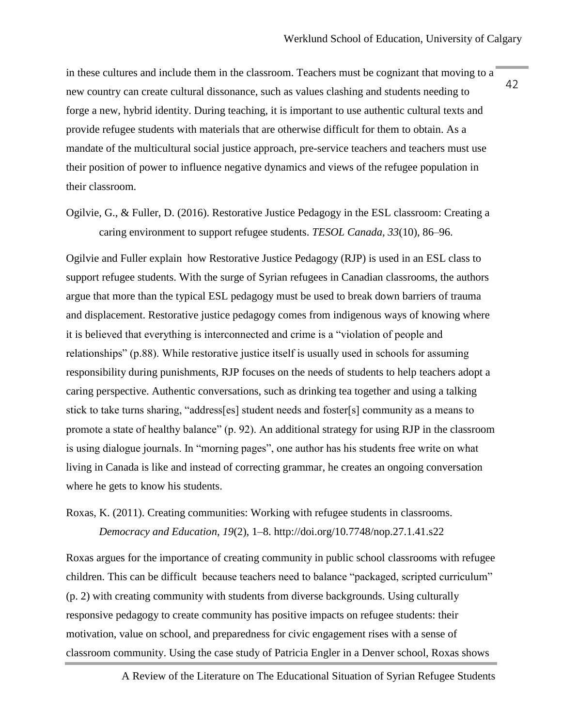in these cultures and include them in the classroom. Teachers must be cognizant that moving to a new country can create cultural dissonance, such as values clashing and students needing to forge a new, hybrid identity. During teaching, it is important to use authentic cultural texts and provide refugee students with materials that are otherwise difficult for them to obtain. As a mandate of the multicultural social justice approach, pre-service teachers and teachers must use their position of power to influence negative dynamics and views of the refugee population in their classroom.

Ogilvie, G., & Fuller, D. (2016). Restorative Justice Pedagogy in the ESL classroom: Creating a caring environment to support refugee students. *TESOL Canada, 33*(10), 86–96.

Ogilvie and Fuller explain how Restorative Justice Pedagogy (RJP) is used in an ESL class to support refugee students. With the surge of Syrian refugees in Canadian classrooms, the authors argue that more than the typical ESL pedagogy must be used to break down barriers of trauma and displacement. Restorative justice pedagogy comes from indigenous ways of knowing where it is believed that everything is interconnected and crime is a "violation of people and relationships" (p.88). While restorative justice itself is usually used in schools for assuming responsibility during punishments, RJP focuses on the needs of students to help teachers adopt a caring perspective. Authentic conversations, such as drinking tea together and using a talking stick to take turns sharing, "address[es] student needs and foster[s] community as a means to promote a state of healthy balance" (p. 92). An additional strategy for using RJP in the classroom is using dialogue journals. In "morning pages", one author has his students free write on what living in Canada is like and instead of correcting grammar, he creates an ongoing conversation where he gets to know his students.

Roxas, K. (2011). Creating communities: Working with refugee students in classrooms. *Democracy and Education, 19*(2), 1–8. http://doi.org/10.7748/nop.27.1.41.s22

Roxas argues for the importance of creating community in public school classrooms with refugee children. This can be difficult because teachers need to balance "packaged, scripted curriculum" (p. 2) with creating community with students from diverse backgrounds. Using culturally responsive pedagogy to create community has positive impacts on refugee students: their motivation, value on school, and preparedness for civic engagement rises with a sense of classroom community. Using the case study of Patricia Engler in a Denver school, Roxas shows

A Review of the Literature on The Educational Situation of Syrian Refugee Students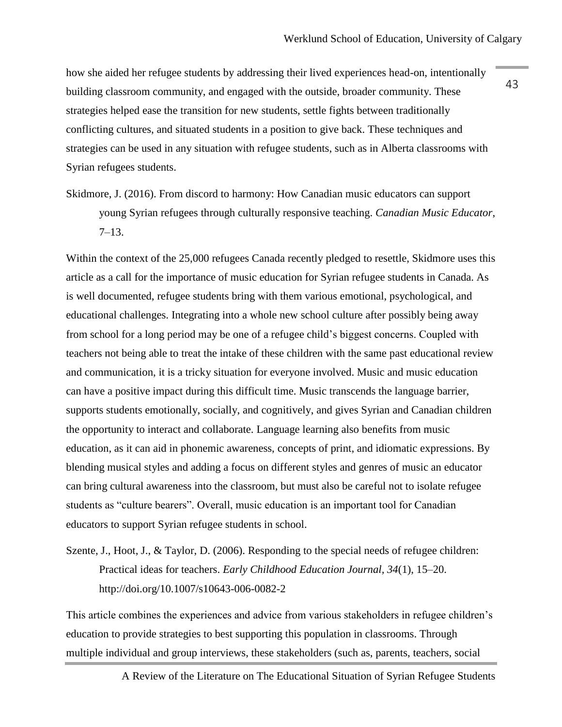how she aided her refugee students by addressing their lived experiences head-on, intentionally building classroom community, and engaged with the outside, broader community. These strategies helped ease the transition for new students, settle fights between traditionally conflicting cultures, and situated students in a position to give back. These techniques and strategies can be used in any situation with refugee students, such as in Alberta classrooms with Syrian refugees students.

Skidmore, J. (2016). From discord to harmony: How Canadian music educators can support young Syrian refugees through culturally responsive teaching. *Canadian Music Educator*, 7–13.

Within the context of the 25,000 refugees Canada recently pledged to resettle, Skidmore uses this article as a call for the importance of music education for Syrian refugee students in Canada. As is well documented, refugee students bring with them various emotional, psychological, and educational challenges. Integrating into a whole new school culture after possibly being away from school for a long period may be one of a refugee child's biggest concerns. Coupled with teachers not being able to treat the intake of these children with the same past educational review and communication, it is a tricky situation for everyone involved. Music and music education can have a positive impact during this difficult time. Music transcends the language barrier, supports students emotionally, socially, and cognitively, and gives Syrian and Canadian children the opportunity to interact and collaborate. Language learning also benefits from music education, as it can aid in phonemic awareness, concepts of print, and idiomatic expressions. By blending musical styles and adding a focus on different styles and genres of music an educator can bring cultural awareness into the classroom, but must also be careful not to isolate refugee students as "culture bearers". Overall, music education is an important tool for Canadian educators to support Syrian refugee students in school.

Szente, J., Hoot, J., & Taylor, D. (2006). Responding to the special needs of refugee children: Practical ideas for teachers. *Early Childhood Education Journal, 34*(1), 15–20. http://doi.org/10.1007/s10643-006-0082-2

This article combines the experiences and advice from various stakeholders in refugee children's education to provide strategies to best supporting this population in classrooms. Through multiple individual and group interviews, these stakeholders (such as, parents, teachers, social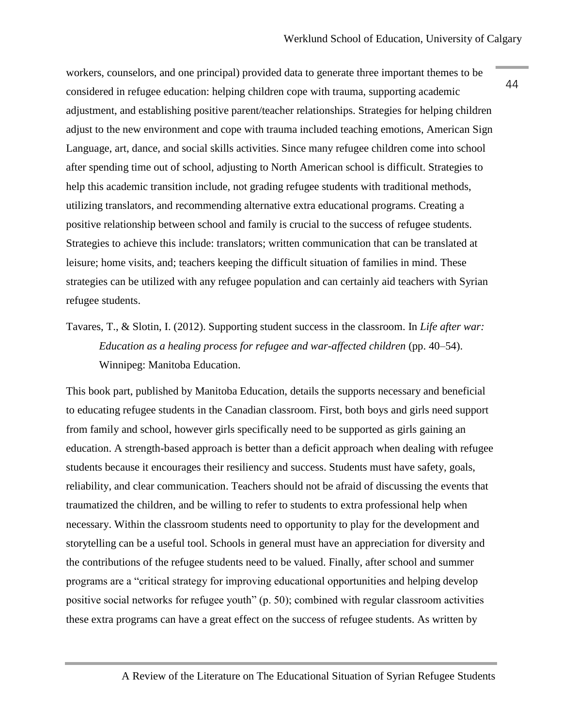workers, counselors, and one principal) provided data to generate three important themes to be considered in refugee education: helping children cope with trauma, supporting academic adjustment, and establishing positive parent/teacher relationships. Strategies for helping children adjust to the new environment and cope with trauma included teaching emotions, American Sign Language, art, dance, and social skills activities. Since many refugee children come into school after spending time out of school, adjusting to North American school is difficult. Strategies to help this academic transition include, not grading refugee students with traditional methods, utilizing translators, and recommending alternative extra educational programs. Creating a positive relationship between school and family is crucial to the success of refugee students. Strategies to achieve this include: translators; written communication that can be translated at leisure; home visits, and; teachers keeping the difficult situation of families in mind. These strategies can be utilized with any refugee population and can certainly aid teachers with Syrian refugee students.

Tavares, T., & Slotin, I. (2012). Supporting student success in the classroom. In *Life after war: Education as a healing process for refugee and war-affected children* (pp. 40–54). Winnipeg: Manitoba Education.

This book part, published by Manitoba Education, details the supports necessary and beneficial to educating refugee students in the Canadian classroom. First, both boys and girls need support from family and school, however girls specifically need to be supported as girls gaining an education. A strength-based approach is better than a deficit approach when dealing with refugee students because it encourages their resiliency and success. Students must have safety, goals, reliability, and clear communication. Teachers should not be afraid of discussing the events that traumatized the children, and be willing to refer to students to extra professional help when necessary. Within the classroom students need to opportunity to play for the development and storytelling can be a useful tool. Schools in general must have an appreciation for diversity and the contributions of the refugee students need to be valued. Finally, after school and summer programs are a "critical strategy for improving educational opportunities and helping develop positive social networks for refugee youth" (p. 50); combined with regular classroom activities these extra programs can have a great effect on the success of refugee students. As written by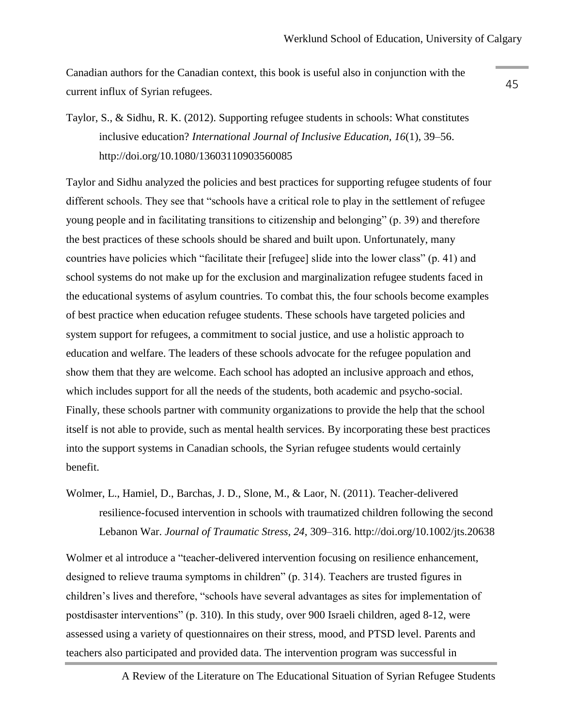Canadian authors for the Canadian context, this book is useful also in conjunction with the current influx of Syrian refugees.

Taylor, S., & Sidhu, R. K. (2012). Supporting refugee students in schools: What constitutes inclusive education? *International Journal of Inclusive Education, 16*(1), 39–56. http://doi.org/10.1080/13603110903560085

Taylor and Sidhu analyzed the policies and best practices for supporting refugee students of four different schools. They see that "schools have a critical role to play in the settlement of refugee young people and in facilitating transitions to citizenship and belonging" (p. 39) and therefore the best practices of these schools should be shared and built upon. Unfortunately, many countries have policies which "facilitate their [refugee] slide into the lower class" (p. 41) and school systems do not make up for the exclusion and marginalization refugee students faced in the educational systems of asylum countries. To combat this, the four schools become examples of best practice when education refugee students. These schools have targeted policies and system support for refugees, a commitment to social justice, and use a holistic approach to education and welfare. The leaders of these schools advocate for the refugee population and show them that they are welcome. Each school has adopted an inclusive approach and ethos, which includes support for all the needs of the students, both academic and psycho-social. Finally, these schools partner with community organizations to provide the help that the school itself is not able to provide, such as mental health services. By incorporating these best practices into the support systems in Canadian schools, the Syrian refugee students would certainly benefit.

Wolmer, L., Hamiel, D., Barchas, J. D., Slone, M., & Laor, N. (2011). Teacher-delivered resilience-focused intervention in schools with traumatized children following the second Lebanon War. *Journal of Traumatic Stress, 24*, 309–316. http://doi.org/10.1002/jts.20638

Wolmer et al introduce a "teacher-delivered intervention focusing on resilience enhancement, designed to relieve trauma symptoms in children" (p. 314). Teachers are trusted figures in children's lives and therefore, "schools have several advantages as sites for implementation of postdisaster interventions" (p. 310). In this study, over 900 Israeli children, aged 8-12, were assessed using a variety of questionnaires on their stress, mood, and PTSD level. Parents and teachers also participated and provided data. The intervention program was successful in

A Review of the Literature on The Educational Situation of Syrian Refugee Students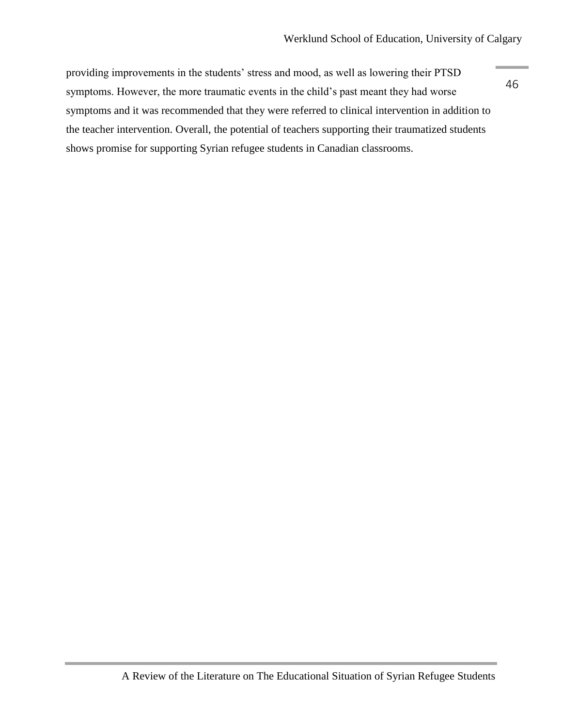46

providing improvements in the students' stress and mood, as well as lowering their PTSD symptoms. However, the more traumatic events in the child's past meant they had worse symptoms and it was recommended that they were referred to clinical intervention in addition to the teacher intervention. Overall, the potential of teachers supporting their traumatized students shows promise for supporting Syrian refugee students in Canadian classrooms.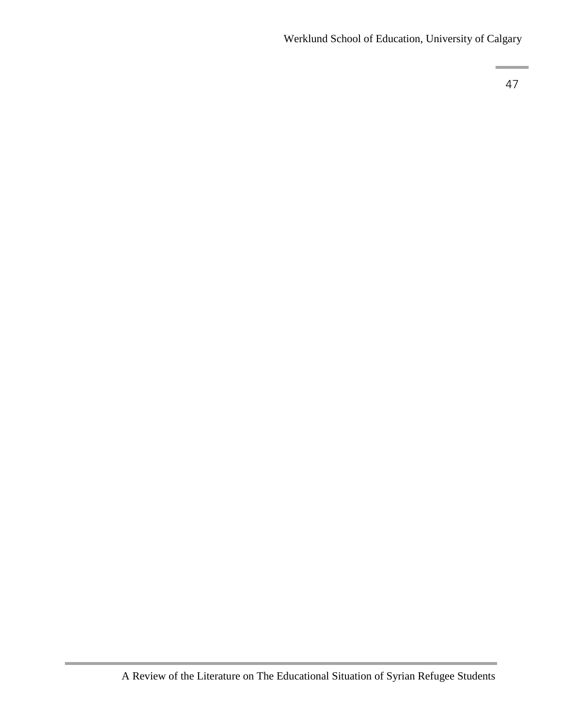i,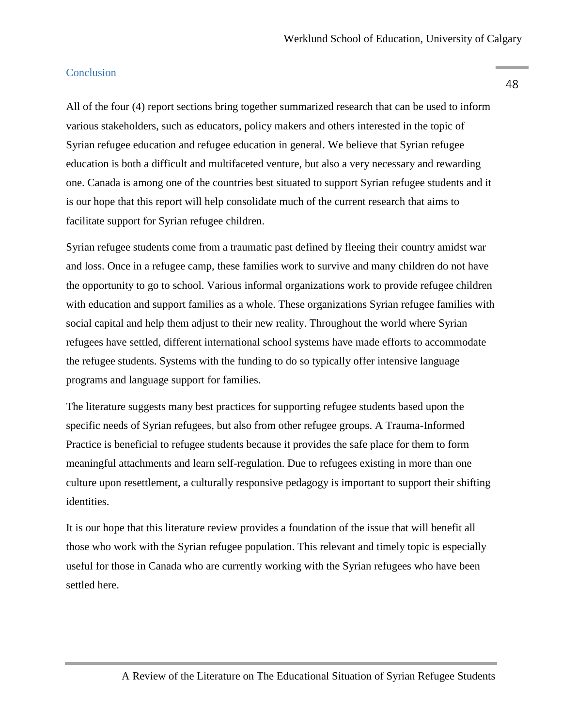#### <span id="page-48-0"></span>**Conclusion**

All of the four (4) report sections bring together summarized research that can be used to inform various stakeholders, such as educators, policy makers and others interested in the topic of Syrian refugee education and refugee education in general. We believe that Syrian refugee education is both a difficult and multifaceted venture, but also a very necessary and rewarding one. Canada is among one of the countries best situated to support Syrian refugee students and it is our hope that this report will help consolidate much of the current research that aims to facilitate support for Syrian refugee children.

Syrian refugee students come from a traumatic past defined by fleeing their country amidst war and loss. Once in a refugee camp, these families work to survive and many children do not have the opportunity to go to school. Various informal organizations work to provide refugee children with education and support families as a whole. These organizations Syrian refugee families with social capital and help them adjust to their new reality. Throughout the world where Syrian refugees have settled, different international school systems have made efforts to accommodate the refugee students. Systems with the funding to do so typically offer intensive language programs and language support for families.

The literature suggests many best practices for supporting refugee students based upon the specific needs of Syrian refugees, but also from other refugee groups. A Trauma-Informed Practice is beneficial to refugee students because it provides the safe place for them to form meaningful attachments and learn self-regulation. Due to refugees existing in more than one culture upon resettlement, a culturally responsive pedagogy is important to support their shifting identities.

It is our hope that this literature review provides a foundation of the issue that will benefit all those who work with the Syrian refugee population. This relevant and timely topic is especially useful for those in Canada who are currently working with the Syrian refugees who have been settled here.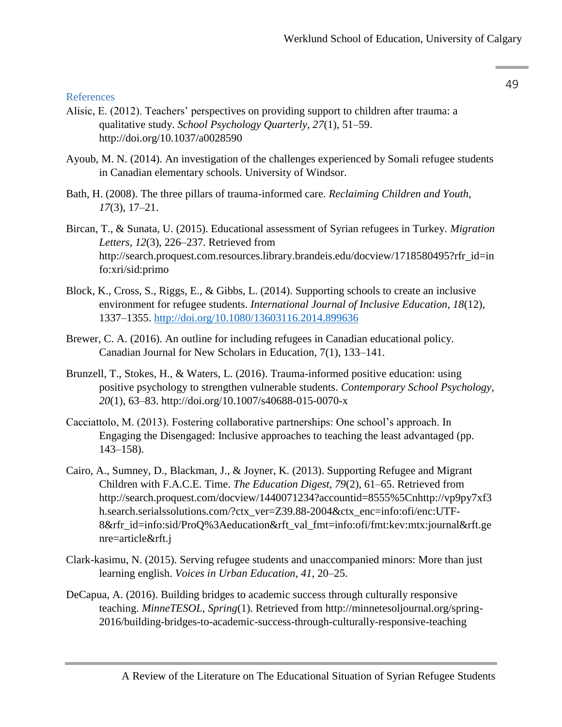### <span id="page-49-0"></span>References

- Alisic, E. (2012). Teachers' perspectives on providing support to children after trauma: a qualitative study. *School Psychology Quarterly, 27*(1), 51–59. http://doi.org/10.1037/a0028590
- Ayoub, M. N. (2014). An investigation of the challenges experienced by Somali refugee students in Canadian elementary schools. University of Windsor.
- Bath, H. (2008). The three pillars of trauma-informed care. *Reclaiming Children and Youth, 17*(3), 17–21.
- Bircan, T., & Sunata, U. (2015). Educational assessment of Syrian refugees in Turkey. *Migration Letters, 12*(3), 226–237. Retrieved from http://search.proquest.com.resources.library.brandeis.edu/docview/1718580495?rfr\_id=in fo:xri/sid:primo
- Block, K., Cross, S., Riggs, E., & Gibbs, L. (2014). Supporting schools to create an inclusive environment for refugee students. *International Journal of Inclusive Education, 18*(12), 1337–1355.<http://doi.org/10.1080/13603116.2014.899636>
- Brewer, C. A. (2016). An outline for including refugees in Canadian educational policy. Canadian Journal for New Scholars in Education, 7(1), 133–141.
- Brunzell, T., Stokes, H., & Waters, L. (2016). Trauma-informed positive education: using positive psychology to strengthen vulnerable students. *Contemporary School Psychology, 20*(1), 63–83. http://doi.org/10.1007/s40688-015-0070-x
- Cacciattolo, M. (2013). Fostering collaborative partnerships: One school's approach. In Engaging the Disengaged: Inclusive approaches to teaching the least advantaged (pp. 143–158).
- Cairo, A., Sumney, D., Blackman, J., & Joyner, K. (2013). Supporting Refugee and Migrant Children with F.A.C.E. Time. *The Education Digest, 79*(2), 61–65. Retrieved from http://search.proquest.com/docview/1440071234?accountid=8555%5Cnhttp://vp9py7xf3 h.search.serialssolutions.com/?ctx\_ver=Z39.88-2004&ctx\_enc=info:ofi/enc:UTF-8&rfr\_id=info:sid/ProQ%3Aeducation&rft\_val\_fmt=info:ofi/fmt:kev:mtx:journal&rft.ge nre=article&rft.j
- Clark-kasimu, N. (2015). Serving refugee students and unaccompanied minors: More than just learning english. *Voices in Urban Education, 41*, 20–25.
- DeCapua, A. (2016). Building bridges to academic success through culturally responsive teaching. *MinneTESOL, Spring*(1). Retrieved from http://minnetesoljournal.org/spring-2016/building-bridges-to-academic-success-through-culturally-responsive-teaching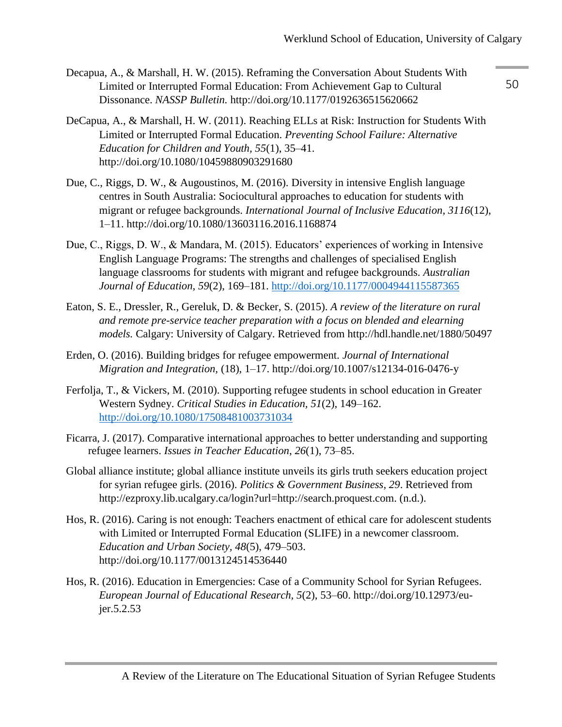- Decapua, A., & Marshall, H. W. (2015). Reframing the Conversation About Students With Limited or Interrupted Formal Education: From Achievement Gap to Cultural Dissonance. *NASSP Bulletin.* http://doi.org/10.1177/0192636515620662
- DeCapua, A., & Marshall, H. W. (2011). Reaching ELLs at Risk: Instruction for Students With Limited or Interrupted Formal Education. *Preventing School Failure: Alternative Education for Children and Youth, 55*(1), 35–41. http://doi.org/10.1080/10459880903291680
- Due, C., Riggs, D. W., & Augoustinos, M. (2016). Diversity in intensive English language centres in South Australia: Sociocultural approaches to education for students with migrant or refugee backgrounds. *International Journal of Inclusive Education, 3116*(12), 1–11. http://doi.org/10.1080/13603116.2016.1168874
- Due, C., Riggs, D. W., & Mandara, M. (2015). Educators' experiences of working in Intensive English Language Programs: The strengths and challenges of specialised English language classrooms for students with migrant and refugee backgrounds. *Australian Journal of Education, 59*(2), 169–181.<http://doi.org/10.1177/0004944115587365>
- Eaton, S. E., Dressler, R., Gereluk, D. & Becker, S. (2015). *A review of the literature on rural and remote pre-service teacher preparation with a focus on blended and elearning models.* Calgary: University of Calgary. Retrieved from http://hdl.handle.net/1880/50497
- Erden, O. (2016). Building bridges for refugee empowerment. *Journal of International Migration and Integration,* (18), 1–17. http://doi.org/10.1007/s12134-016-0476-y
- Ferfolja, T., & Vickers, M. (2010). Supporting refugee students in school education in Greater Western Sydney. *Critical Studies in Education, 51*(2), 149–162. <http://doi.org/10.1080/17508481003731034>
- Ficarra, J. (2017). Comparative international approaches to better understanding and supporting refugee learners. *Issues in Teacher Education*, *26*(1), 73–85.
- Global alliance institute; global alliance institute unveils its girls truth seekers education project for syrian refugee girls. (2016). *Politics & Government Business, 29*. Retrieved from http://ezproxy.lib.ucalgary.ca/login?url=http://search.proquest.com. (n.d.).
- Hos, R. (2016). Caring is not enough: Teachers enactment of ethical care for adolescent students with Limited or Interrupted Formal Education (SLIFE) in a newcomer classroom. *Education and Urban Society, 48*(5), 479–503. http://doi.org/10.1177/0013124514536440
- Hos, R. (2016). Education in Emergencies: Case of a Community School for Syrian Refugees. *European Journal of Educational Research, 5*(2), 53–60. http://doi.org/10.12973/eujer.5.2.53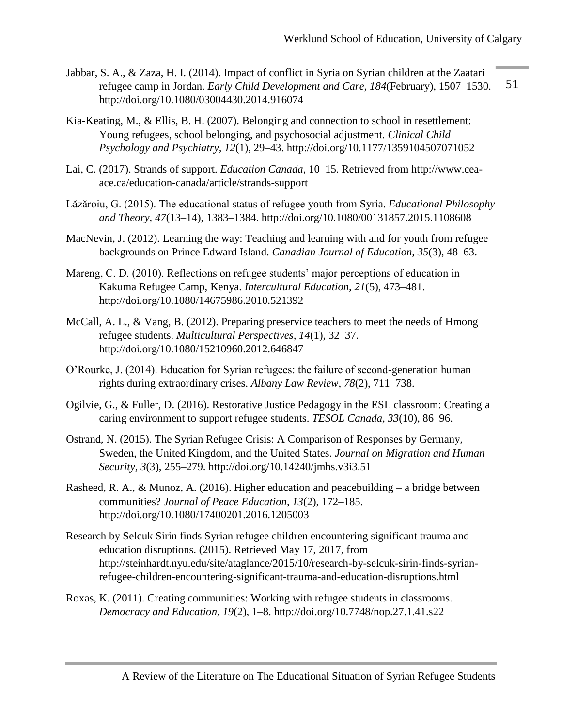- 51 Jabbar, S. A., & Zaza, H. I. (2014). Impact of conflict in Syria on Syrian children at the Zaatari refugee camp in Jordan. *Early Child Development and Care, 184*(February), 1507–1530. http://doi.org/10.1080/03004430.2014.916074
- Kia-Keating, M., & Ellis, B. H. (2007). Belonging and connection to school in resettlement: Young refugees, school belonging, and psychosocial adjustment. *Clinical Child Psychology and Psychiatry, 12*(1), 29–43. http://doi.org/10.1177/1359104507071052
- Lai, C. (2017). Strands of support. *Education Canada*, 10–15. Retrieved from http://www.ceaace.ca/education-canada/article/strands-support
- Lăzăroiu, G. (2015). The educational status of refugee youth from Syria. *Educational Philosophy and Theory, 47*(13–14), 1383–1384. http://doi.org/10.1080/00131857.2015.1108608
- MacNevin, J. (2012). Learning the way: Teaching and learning with and for youth from refugee backgrounds on Prince Edward Island. *Canadian Journal of Education, 35*(3), 48–63.
- Mareng, C. D. (2010). Reflections on refugee students' major perceptions of education in Kakuma Refugee Camp, Kenya. *Intercultural Education, 21*(5), 473–481. http://doi.org/10.1080/14675986.2010.521392
- McCall, A. L., & Vang, B. (2012). Preparing preservice teachers to meet the needs of Hmong refugee students. *Multicultural Perspectives, 14*(1), 32–37. http://doi.org/10.1080/15210960.2012.646847
- O'Rourke, J. (2014). Education for Syrian refugees: the failure of second-generation human rights during extraordinary crises. *Albany Law Review, 78*(2), 711–738.
- Ogilvie, G., & Fuller, D. (2016). Restorative Justice Pedagogy in the ESL classroom: Creating a caring environment to support refugee students. *TESOL Canada, 33*(10), 86–96.
- Ostrand, N. (2015). The Syrian Refugee Crisis: A Comparison of Responses by Germany, Sweden, the United Kingdom, and the United States. *Journal on Migration and Human Security, 3*(3), 255–279. http://doi.org/10.14240/jmhs.v3i3.51
- Rasheed, R. A., & Munoz, A. (2016). Higher education and peacebuilding a bridge between communities? *Journal of Peace Education, 13*(2), 172–185. http://doi.org/10.1080/17400201.2016.1205003
- Research by Selcuk Sirin finds Syrian refugee children encountering significant trauma and education disruptions. (2015). Retrieved May 17, 2017, from http://steinhardt.nyu.edu/site/ataglance/2015/10/research-by-selcuk-sirin-finds-syrianrefugee-children-encountering-significant-trauma-and-education-disruptions.html
- Roxas, K. (2011). Creating communities: Working with refugee students in classrooms. *Democracy and Education, 19*(2), 1–8. http://doi.org/10.7748/nop.27.1.41.s22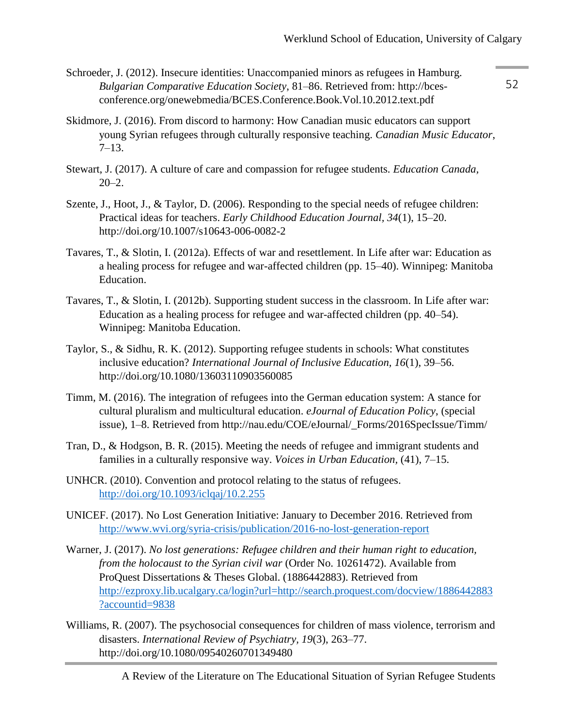- Schroeder, J. (2012). Insecure identities: Unaccompanied minors as refugees in Hamburg. *Bulgarian Comparative Education Society*, 81–86. Retrieved from: http://bcesconference.org/onewebmedia/BCES.Conference.Book.Vol.10.2012.text.pdf
- Skidmore, J. (2016). From discord to harmony: How Canadian music educators can support young Syrian refugees through culturally responsive teaching. *Canadian Music Educator*,  $7-13.$
- Stewart, J. (2017). A culture of care and compassion for refugee students. *Education Canada,*  20–2.
- Szente, J., Hoot, J., & Taylor, D. (2006). Responding to the special needs of refugee children: Practical ideas for teachers. *Early Childhood Education Journal, 34*(1), 15–20. http://doi.org/10.1007/s10643-006-0082-2
- Tavares, T., & Slotin, I. (2012a). Effects of war and resettlement. In Life after war: Education as a healing process for refugee and war-affected children (pp. 15–40). Winnipeg: Manitoba Education.
- Tavares, T., & Slotin, I. (2012b). Supporting student success in the classroom. In Life after war: Education as a healing process for refugee and war-affected children (pp. 40–54). Winnipeg: Manitoba Education.
- Taylor, S., & Sidhu, R. K. (2012). Supporting refugee students in schools: What constitutes inclusive education? *International Journal of Inclusive Education, 16*(1), 39–56. http://doi.org/10.1080/13603110903560085
- Timm, M. (2016). The integration of refugees into the German education system: A stance for cultural pluralism and multicultural education. *eJournal of Education Policy*, (special issue), 1–8. Retrieved from http://nau.edu/COE/eJournal/\_Forms/2016SpecIssue/Timm/
- Tran, D., & Hodgson, B. R. (2015). Meeting the needs of refugee and immigrant students and families in a culturally responsive way. *Voices in Urban Education,* (41), 7–15.
- UNHCR. (2010). Convention and protocol relating to the status of refugees. <http://doi.org/10.1093/iclqaj/10.2.255>
- UNICEF. (2017). No Lost Generation Initiative: January to December 2016. Retrieved from <http://www.wvi.org/syria-crisis/publication/2016-no-lost-generation-report>
- Warner, J. (2017). *No lost generations: Refugee children and their human right to education, from the holocaust to the Syrian civil war* (Order No. 10261472). Available from ProQuest Dissertations & Theses Global. (1886442883). Retrieved from [http://ezproxy.lib.ucalgary.ca/login?url=http://search.proquest.com/docview/1886442883](http://ezproxy.lib.ucalgary.ca/login?url=http://search.proquest.com/docview/1886442883?accountid=9838) [?accountid=9838](http://ezproxy.lib.ucalgary.ca/login?url=http://search.proquest.com/docview/1886442883?accountid=9838)
- Williams, R. (2007). The psychosocial consequences for children of mass violence, terrorism and disasters. *International Review of Psychiatry, 19*(3), 263–77. http://doi.org/10.1080/09540260701349480

A Review of the Literature on The Educational Situation of Syrian Refugee Students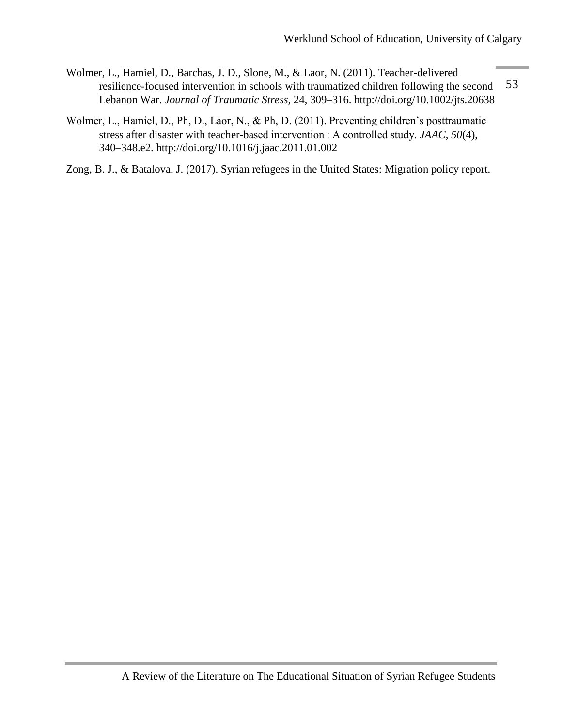- 53 Wolmer, L., Hamiel, D., Barchas, J. D., Slone, M., & Laor, N. (2011). Teacher-delivered resilience-focused intervention in schools with traumatized children following the second Lebanon War. *Journal of Traumatic Stress,* 24, 309–316. http://doi.org/10.1002/jts.20638
- Wolmer, L., Hamiel, D., Ph, D., Laor, N., & Ph, D. (2011). Preventing children's posttraumatic stress after disaster with teacher-based intervention : A controlled study. *JAAC, 50*(4), 340–348.e2. http://doi.org/10.1016/j.jaac.2011.01.002
- Zong, B. J., & Batalova, J. (2017). Syrian refugees in the United States: Migration policy report.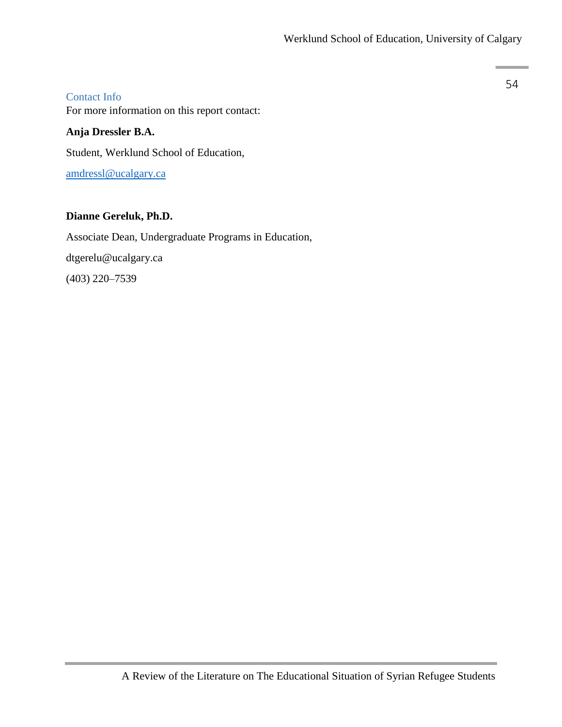### <span id="page-54-0"></span>Contact Info

For more information on this report contact:

### **Anja Dressler B.A.**

Student, Werklund School of Education,

[amdressl@ucalgary.ca](mailto:amdressl@ucalgary.ca)

### **Dianne Gereluk, Ph.D.**

Associate Dean, Undergraduate Programs in Education,

dtgerelu@ucalgary.ca

(403) 220–7539